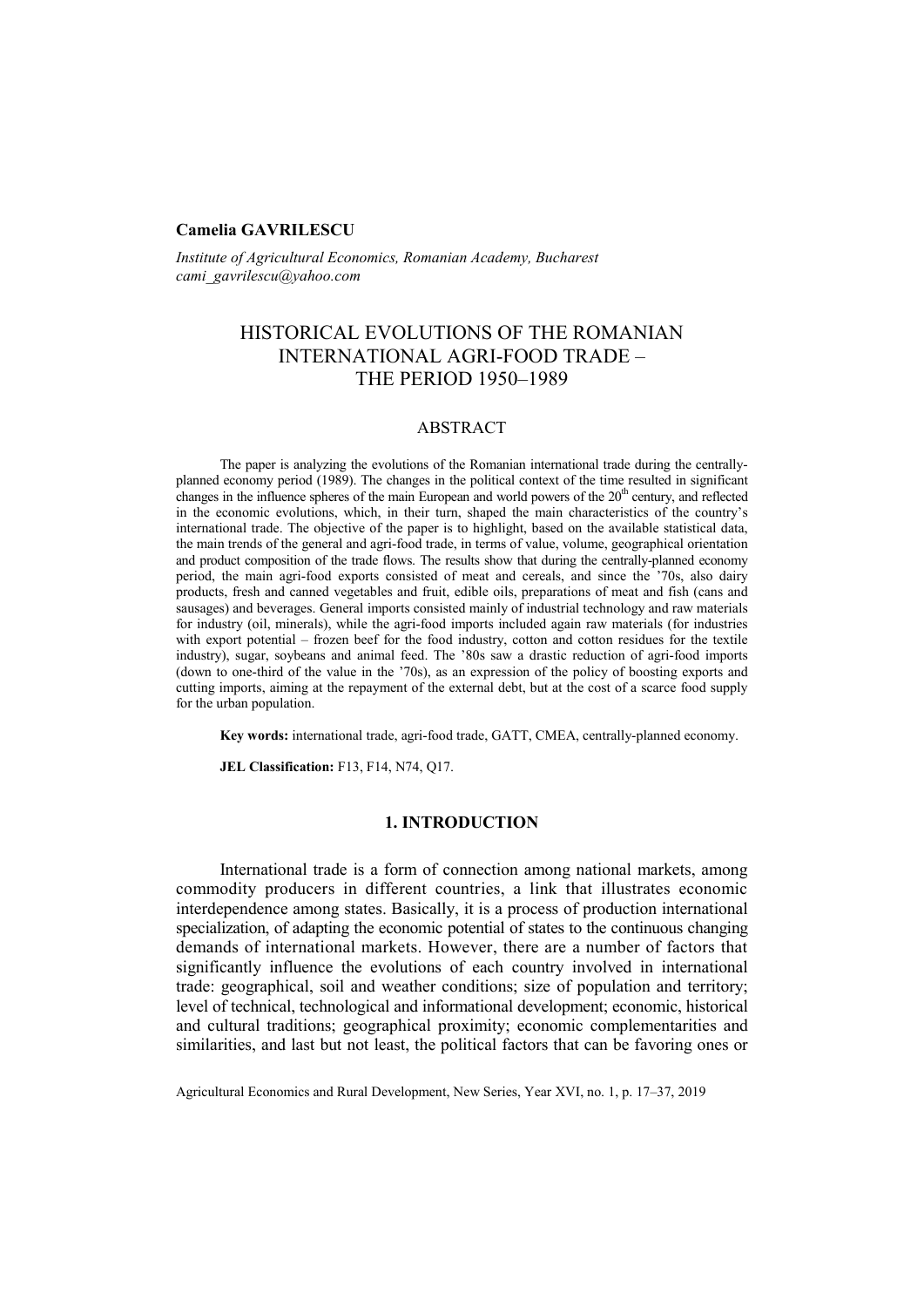## **Camelia GAVRILESCU**

*Institute of Agricultural Economics, Romanian Academy, Bucharest cami\_gavrilescu@yahoo.com* 

# HISTORICAL EVOLUTIONS OF THE ROMANIAN INTERNATIONAL AGRI-FOOD TRADE – THE PERIOD 1950–1989

## ABSTRACT

The paper is analyzing the evolutions of the Romanian international trade during the centrallyplanned economy period (1989). The changes in the political context of the time resulted in significant changes in the influence spheres of the main European and world powers of the  $20<sup>th</sup>$  century, and reflected in the economic evolutions, which, in their turn, shaped the main characteristics of the country's international trade. The objective of the paper is to highlight, based on the available statistical data, the main trends of the general and agri-food trade, in terms of value, volume, geographical orientation and product composition of the trade flows. The results show that during the centrally-planned economy period, the main agri-food exports consisted of meat and cereals, and since the '70s, also dairy products, fresh and canned vegetables and fruit, edible oils, preparations of meat and fish (cans and sausages) and beverages. General imports consisted mainly of industrial technology and raw materials for industry (oil, minerals), while the agri-food imports included again raw materials (for industries with export potential – frozen beef for the food industry, cotton and cotton residues for the textile industry), sugar, soybeans and animal feed. The '80s saw a drastic reduction of agri-food imports (down to one-third of the value in the '70s), as an expression of the policy of boosting exports and cutting imports, aiming at the repayment of the external debt, but at the cost of a scarce food supply for the urban population.

**Key words:** international trade, agri-food trade, GATT, CMEA, centrally-planned economy.

**JEL Classification:** F13, F14, N74, Q17.

## **1. INTRODUCTION**

International trade is a form of connection among national markets, among commodity producers in different countries, a link that illustrates economic interdependence among states. Basically, it is a process of production international specialization, of adapting the economic potential of states to the continuous changing demands of international markets. However, there are a number of factors that significantly influence the evolutions of each country involved in international trade: geographical, soil and weather conditions; size of population and territory; level of technical, technological and informational development; economic, historical and cultural traditions; geographical proximity; economic complementarities and similarities, and last but not least, the political factors that can be favoring ones or

Agricultural Economics and Rural Development, New Series, Year XVI, no. 1, p. 17–37, 2019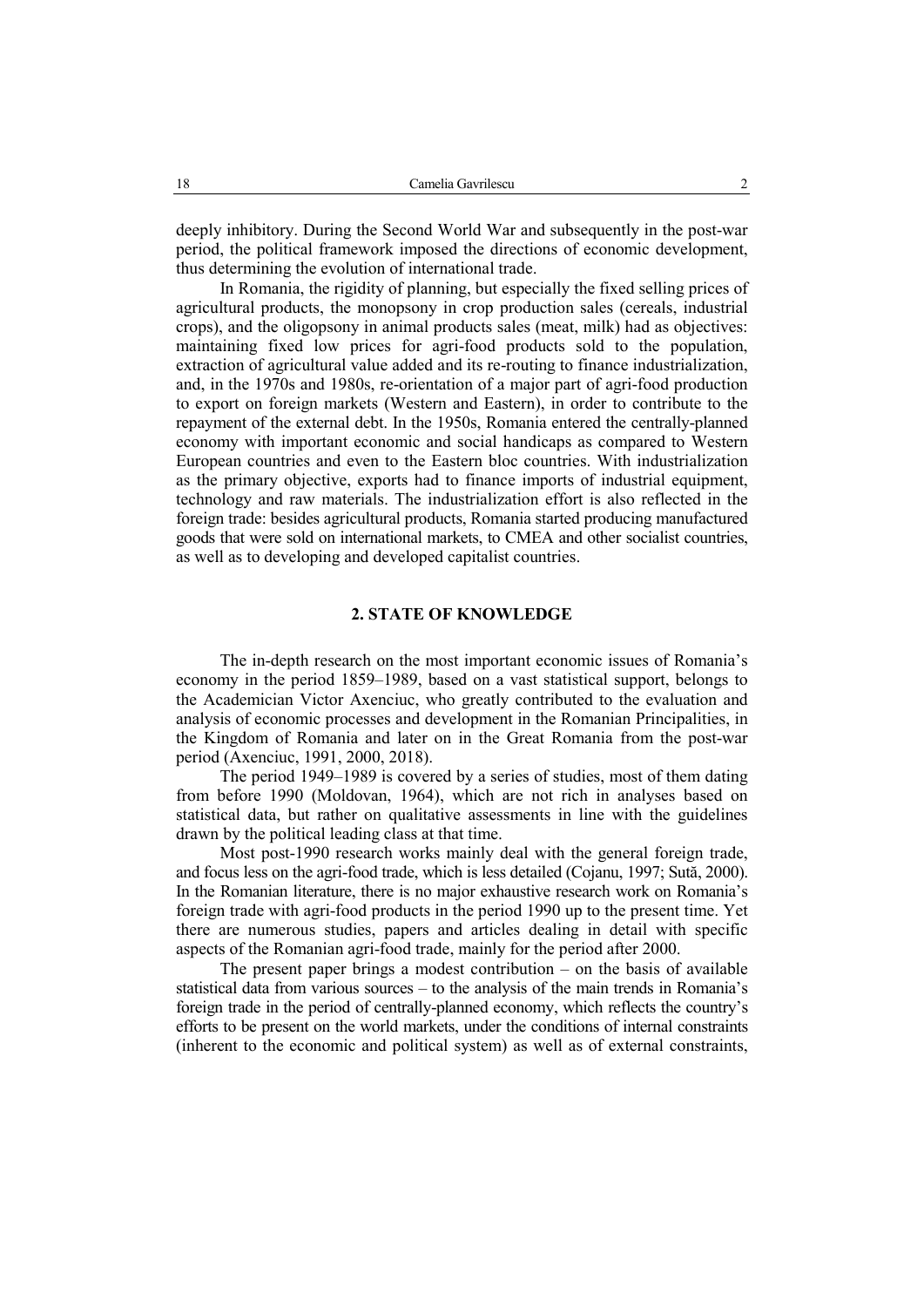deeply inhibitory. During the Second World War and subsequently in the post-war period, the political framework imposed the directions of economic development, thus determining the evolution of international trade.

In Romania, the rigidity of planning, but especially the fixed selling prices of agricultural products, the monopsony in crop production sales (cereals, industrial crops), and the oligopsony in animal products sales (meat, milk) had as objectives: maintaining fixed low prices for agri-food products sold to the population, extraction of agricultural value added and its re-routing to finance industrialization, and, in the 1970s and 1980s, re-orientation of a major part of agri-food production to export on foreign markets (Western and Eastern), in order to contribute to the repayment of the external debt. In the 1950s, Romania entered the centrally-planned economy with important economic and social handicaps as compared to Western European countries and even to the Eastern bloc countries. With industrialization as the primary objective, exports had to finance imports of industrial equipment, technology and raw materials. The industrialization effort is also reflected in the foreign trade: besides agricultural products, Romania started producing manufactured goods that were sold on international markets, to CMEA and other socialist countries, as well as to developing and developed capitalist countries.

### **2. STATE OF KNOWLEDGE**

The in-depth research on the most important economic issues of Romania's economy in the period 1859–1989, based on a vast statistical support, belongs to the Academician Victor Axenciuc, who greatly contributed to the evaluation and analysis of economic processes and development in the Romanian Principalities, in the Kingdom of Romania and later on in the Great Romania from the post-war period (Axenciuc, 1991, 2000, 2018).

The period 1949–1989 is covered by a series of studies, most of them dating from before 1990 (Moldovan, 1964), which are not rich in analyses based on statistical data, but rather on qualitative assessments in line with the guidelines drawn by the political leading class at that time.

Most post-1990 research works mainly deal with the general foreign trade, and focus less on the agri-food trade, which is less detailed (Cojanu, 1997; Sută, 2000). In the Romanian literature, there is no major exhaustive research work on Romania's foreign trade with agri-food products in the period 1990 up to the present time. Yet there are numerous studies, papers and articles dealing in detail with specific aspects of the Romanian agri-food trade, mainly for the period after 2000.

The present paper brings a modest contribution – on the basis of available statistical data from various sources – to the analysis of the main trends in Romania's foreign trade in the period of centrally-planned economy, which reflects the country's efforts to be present on the world markets, under the conditions of internal constraints (inherent to the economic and political system) as well as of external constraints,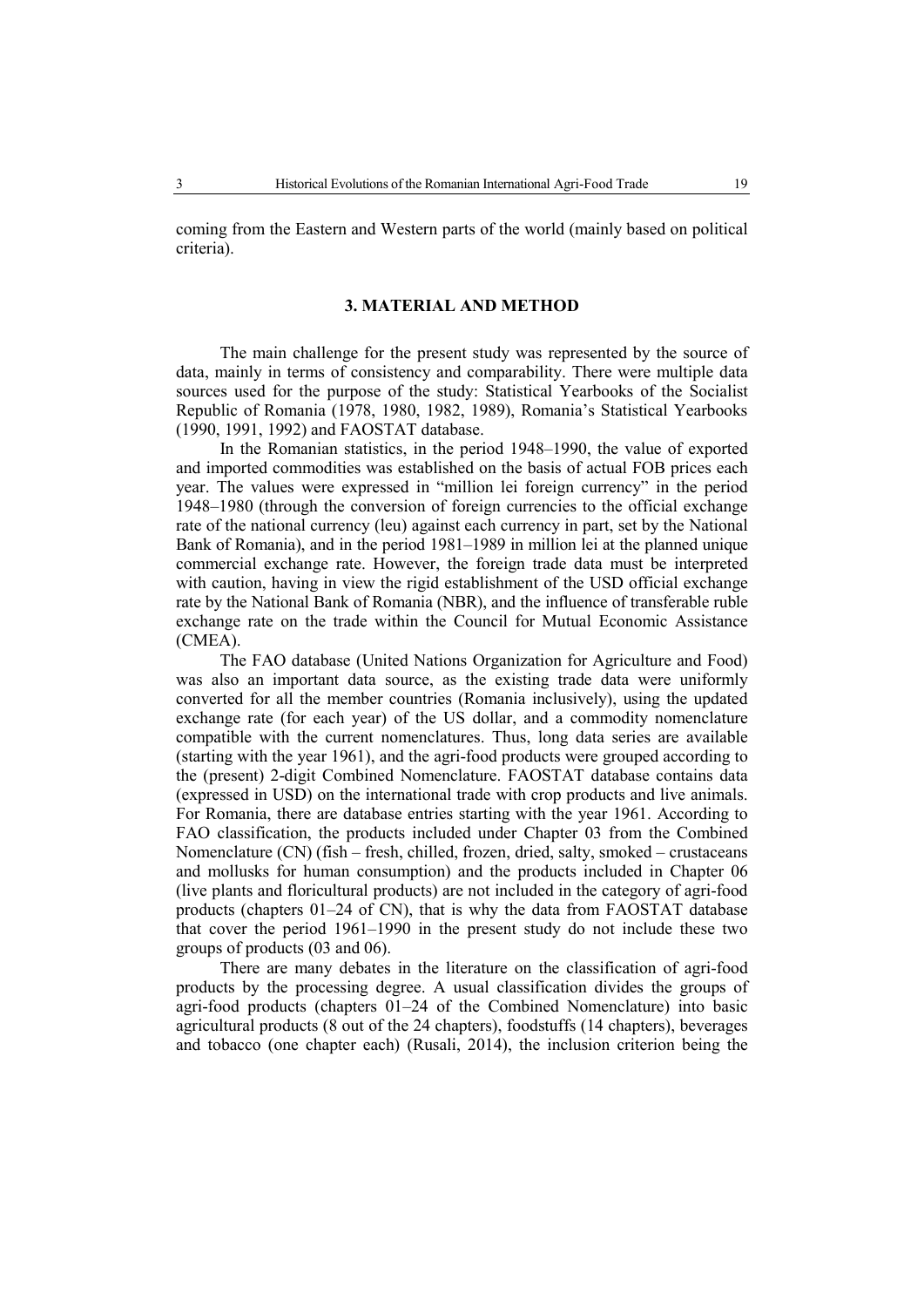coming from the Eastern and Western parts of the world (mainly based on political criteria).

#### **3. MATERIAL AND METHOD**

The main challenge for the present study was represented by the source of data, mainly in terms of consistency and comparability. There were multiple data sources used for the purpose of the study: Statistical Yearbooks of the Socialist Republic of Romania (1978, 1980, 1982, 1989), Romania's Statistical Yearbooks (1990, 1991, 1992) and FAOSTAT database.

In the Romanian statistics, in the period 1948–1990, the value of exported and imported commodities was established on the basis of actual FOB prices each year. The values were expressed in "million lei foreign currency" in the period 1948–1980 (through the conversion of foreign currencies to the official exchange rate of the national currency (leu) against each currency in part, set by the National Bank of Romania), and in the period 1981–1989 in million lei at the planned unique commercial exchange rate. However, the foreign trade data must be interpreted with caution, having in view the rigid establishment of the USD official exchange rate by the National Bank of Romania (NBR), and the influence of transferable ruble exchange rate on the trade within the Council for Mutual Economic Assistance (CMEA).

The FAO database (United Nations Organization for Agriculture and Food) was also an important data source, as the existing trade data were uniformly converted for all the member countries (Romania inclusively), using the updated exchange rate (for each year) of the US dollar, and a commodity nomenclature compatible with the current nomenclatures. Thus, long data series are available (starting with the year 1961), and the agri-food products were grouped according to the (present) 2-digit Combined Nomenclature. FAOSTAT database contains data (expressed in USD) on the international trade with crop products and live animals. For Romania, there are database entries starting with the year 1961. According to FAO classification, the products included under Chapter 03 from the Combined Nomenclature (CN) (fish – fresh, chilled, frozen, dried, salty, smoked – crustaceans and mollusks for human consumption) and the products included in Chapter 06 (live plants and floricultural products) are not included in the category of agri-food products (chapters 01–24 of CN), that is why the data from FAOSTAT database that cover the period 1961–1990 in the present study do not include these two groups of products (03 and 06).

There are many debates in the literature on the classification of agri-food products by the processing degree. A usual classification divides the groups of agri-food products (chapters 01–24 of the Combined Nomenclature) into basic agricultural products (8 out of the 24 chapters), foodstuffs (14 chapters), beverages and tobacco (one chapter each) (Rusali, 2014), the inclusion criterion being the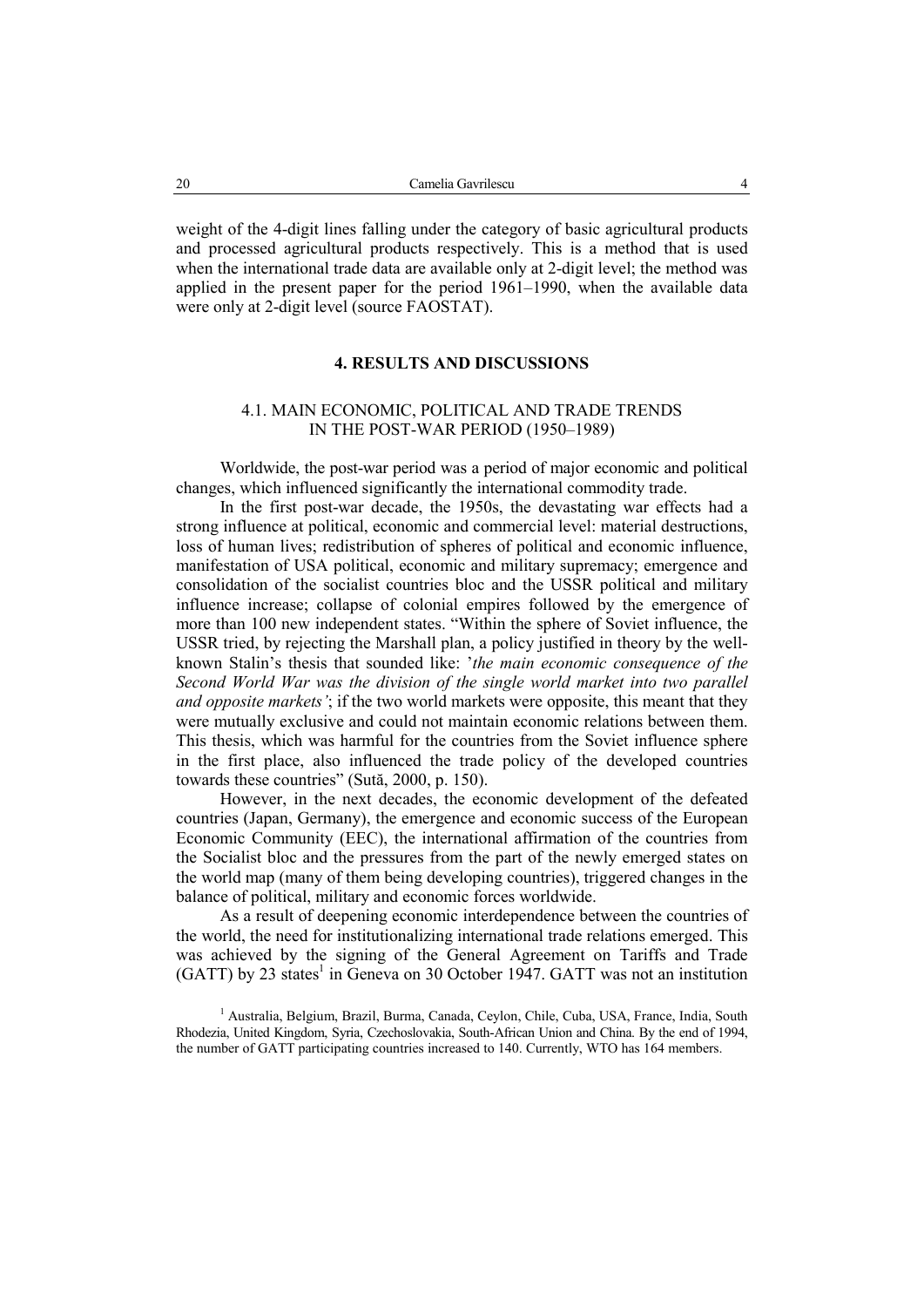weight of the 4-digit lines falling under the category of basic agricultural products and processed agricultural products respectively. This is a method that is used when the international trade data are available only at 2-digit level; the method was applied in the present paper for the period 1961–1990, when the available data were only at 2-digit level (source FAOSTAT).

### **4. RESULTS AND DISCUSSIONS**

## 4.1. MAIN ECONOMIC, POLITICAL AND TRADE TRENDS IN THE POST-WAR PERIOD (1950–1989)

Worldwide, the post-war period was a period of major economic and political changes, which influenced significantly the international commodity trade.

In the first post-war decade, the 1950s, the devastating war effects had a strong influence at political, economic and commercial level: material destructions, loss of human lives; redistribution of spheres of political and economic influence, manifestation of USA political, economic and military supremacy; emergence and consolidation of the socialist countries bloc and the USSR political and military influence increase; collapse of colonial empires followed by the emergence of more than 100 new independent states. "Within the sphere of Soviet influence, the USSR tried, by rejecting the Marshall plan, a policy justified in theory by the wellknown Stalin's thesis that sounded like: '*the main economic consequence of the Second World War was the division of the single world market into two parallel and opposite markets'*; if the two world markets were opposite, this meant that they were mutually exclusive and could not maintain economic relations between them. This thesis, which was harmful for the countries from the Soviet influence sphere in the first place, also influenced the trade policy of the developed countries towards these countries" (Sută, 2000, p. 150).

However, in the next decades, the economic development of the defeated countries (Japan, Germany), the emergence and economic success of the European Economic Community (EEC), the international affirmation of the countries from the Socialist bloc and the pressures from the part of the newly emerged states on the world map (many of them being developing countries), triggered changes in the balance of political, military and economic forces worldwide.

As a result of deepening economic interdependence between the countries of the world, the need for institutionalizing international trade relations emerged. This was achieved by the signing of the General Agreement on Tariffs and Trade  $(GATT)$  by 23 states<sup>1</sup> in Geneva on 30 October 1947. GATT was not an institution

<sup>1</sup> Australia, Belgium, Brazil, Burma, Canada, Ceylon, Chile, Cuba, USA, France, India, South Rhodezia, United Kingdom, Syria, Czechoslovakia, South-African Union and China. By the end of 1994, the number of GATT participating countries increased to 140. Currently, WTO has 164 members.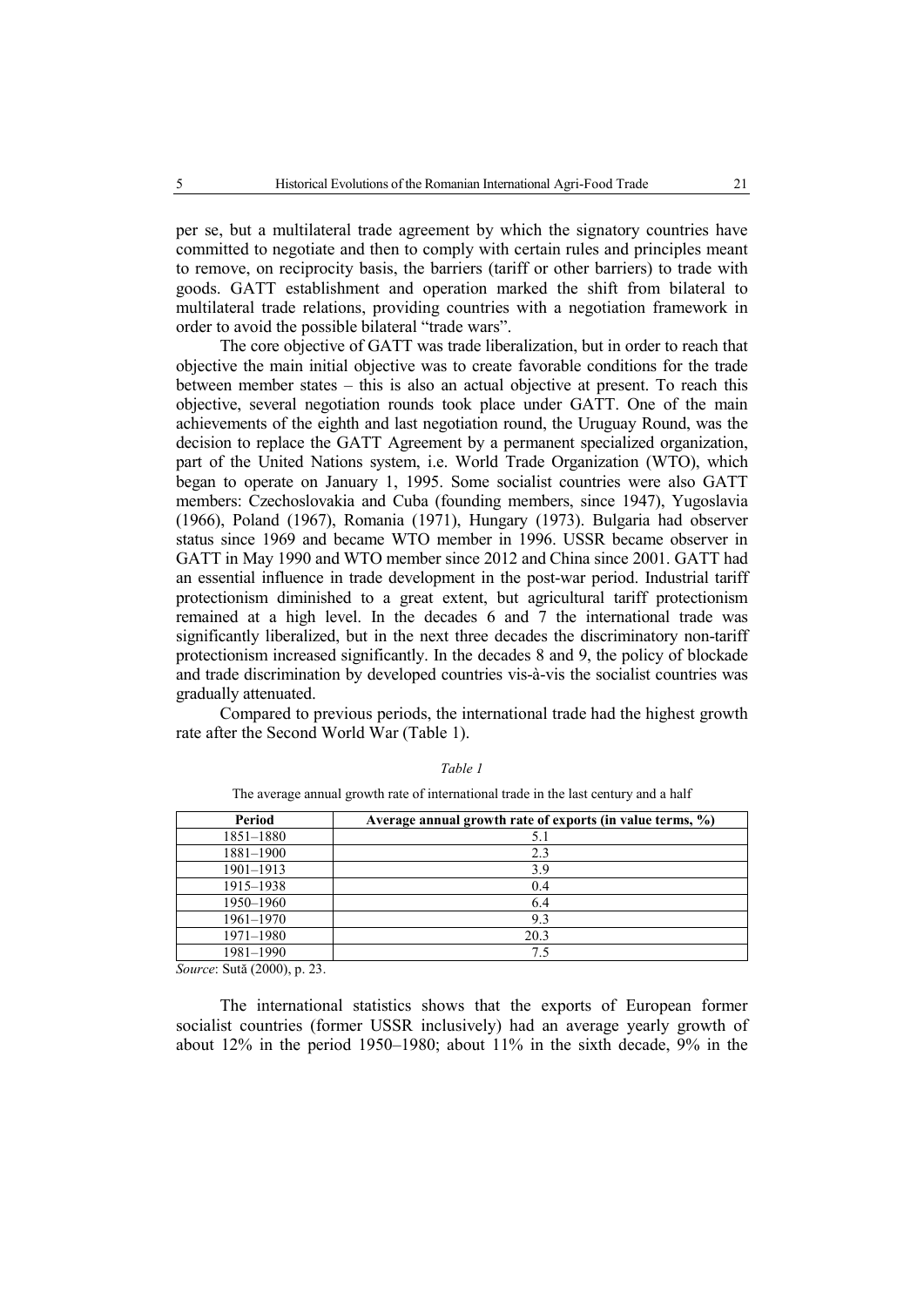per se, but a multilateral trade agreement by which the signatory countries have committed to negotiate and then to comply with certain rules and principles meant to remove, on reciprocity basis, the barriers (tariff or other barriers) to trade with goods. GATT establishment and operation marked the shift from bilateral to multilateral trade relations, providing countries with a negotiation framework in order to avoid the possible bilateral "trade wars".

The core objective of GATT was trade liberalization, but in order to reach that objective the main initial objective was to create favorable conditions for the trade between member states – this is also an actual objective at present. To reach this objective, several negotiation rounds took place under GATT. One of the main achievements of the eighth and last negotiation round, the Uruguay Round, was the decision to replace the GATT Agreement by a permanent specialized organization, part of the United Nations system, i.e. World Trade Organization (WTO), which began to operate on January 1, 1995. Some socialist countries were also GATT members: Czechoslovakia and Cuba (founding members, since 1947), Yugoslavia (1966), Poland (1967), Romania (1971), Hungary (1973). Bulgaria had observer status since 1969 and became WTO member in 1996. USSR became observer in GATT in May 1990 and WTO member since 2012 and China since 2001. GATT had an essential influence in trade development in the post-war period. Industrial tariff protectionism diminished to a great extent, but agricultural tariff protectionism remained at a high level. In the decades 6 and 7 the international trade was significantly liberalized, but in the next three decades the discriminatory non-tariff protectionism increased significantly. In the decades 8 and 9, the policy of blockade and trade discrimination by developed countries vis-à-vis the socialist countries was gradually attenuated.

Compared to previous periods, the international trade had the highest growth rate after the Second World War (Table 1).

| Period        | Average annual growth rate of exports (in value terms, %) |
|---------------|-----------------------------------------------------------|
| 1851-1880     | 5.1                                                       |
| 1881-1900     | 2.3                                                       |
| $1901 - 1913$ | 3.9                                                       |
| 1915-1938     | 0.4                                                       |
| 1950–1960     | 6.4                                                       |
| 1961-1970     | 9.3                                                       |
| 1971-1980     | 20.3                                                      |
| 1981-1990     |                                                           |

*Table 1* 

 $\frac{1}{2}$  are also an international trade in the last century and a half

*Source*: Sută (2000), p. 23.

The international statistics shows that the exports of European former socialist countries (former USSR inclusively) had an average yearly growth of about 12% in the period 1950–1980; about 11% in the sixth decade, 9% in the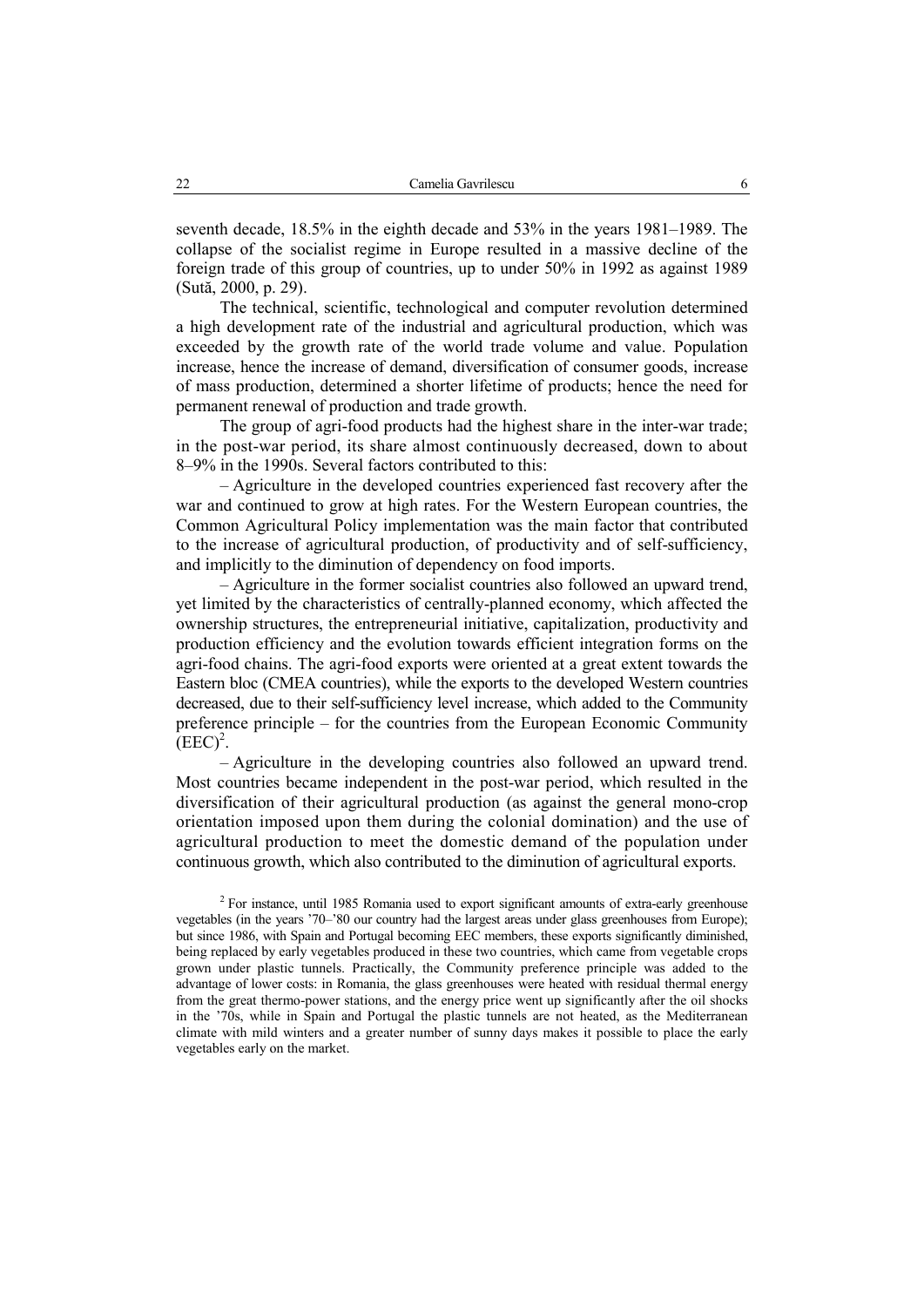seventh decade, 18.5% in the eighth decade and 53% in the years 1981–1989. The collapse of the socialist regime in Europe resulted in a massive decline of the foreign trade of this group of countries, up to under 50% in 1992 as against 1989 (Sută, 2000, p. 29).

The technical, scientific, technological and computer revolution determined a high development rate of the industrial and agricultural production, which was exceeded by the growth rate of the world trade volume and value. Population increase, hence the increase of demand, diversification of consumer goods, increase of mass production, determined a shorter lifetime of products; hence the need for permanent renewal of production and trade growth.

The group of agri-food products had the highest share in the inter-war trade; in the post-war period, its share almost continuously decreased, down to about 8–9% in the 1990s. Several factors contributed to this:

– Agriculture in the developed countries experienced fast recovery after the war and continued to grow at high rates. For the Western European countries, the Common Agricultural Policy implementation was the main factor that contributed to the increase of agricultural production, of productivity and of self-sufficiency, and implicitly to the diminution of dependency on food imports.

– Agriculture in the former socialist countries also followed an upward trend, yet limited by the characteristics of centrally-planned economy, which affected the ownership structures, the entrepreneurial initiative, capitalization, productivity and production efficiency and the evolution towards efficient integration forms on the agri-food chains. The agri-food exports were oriented at a great extent towards the Eastern bloc (CMEA countries), while the exports to the developed Western countries decreased, due to their self-sufficiency level increase, which added to the Community preference principle – for the countries from the European Economic Community  $(EEC)^2$ .

– Agriculture in the developing countries also followed an upward trend. Most countries became independent in the post-war period, which resulted in the diversification of their agricultural production (as against the general mono-crop orientation imposed upon them during the colonial domination) and the use of agricultural production to meet the domestic demand of the population under continuous growth, which also contributed to the diminution of agricultural exports.

 $2$  For instance, until 1985 Romania used to export significant amounts of extra-early greenhouse vegetables (in the years '70–'80 our country had the largest areas under glass greenhouses from Europe); but since 1986, with Spain and Portugal becoming EEC members, these exports significantly diminished, being replaced by early vegetables produced in these two countries, which came from vegetable crops grown under plastic tunnels. Practically, the Community preference principle was added to the advantage of lower costs: in Romania, the glass greenhouses were heated with residual thermal energy from the great thermo-power stations, and the energy price went up significantly after the oil shocks in the '70s, while in Spain and Portugal the plastic tunnels are not heated, as the Mediterranean climate with mild winters and a greater number of sunny days makes it possible to place the early vegetables early on the market.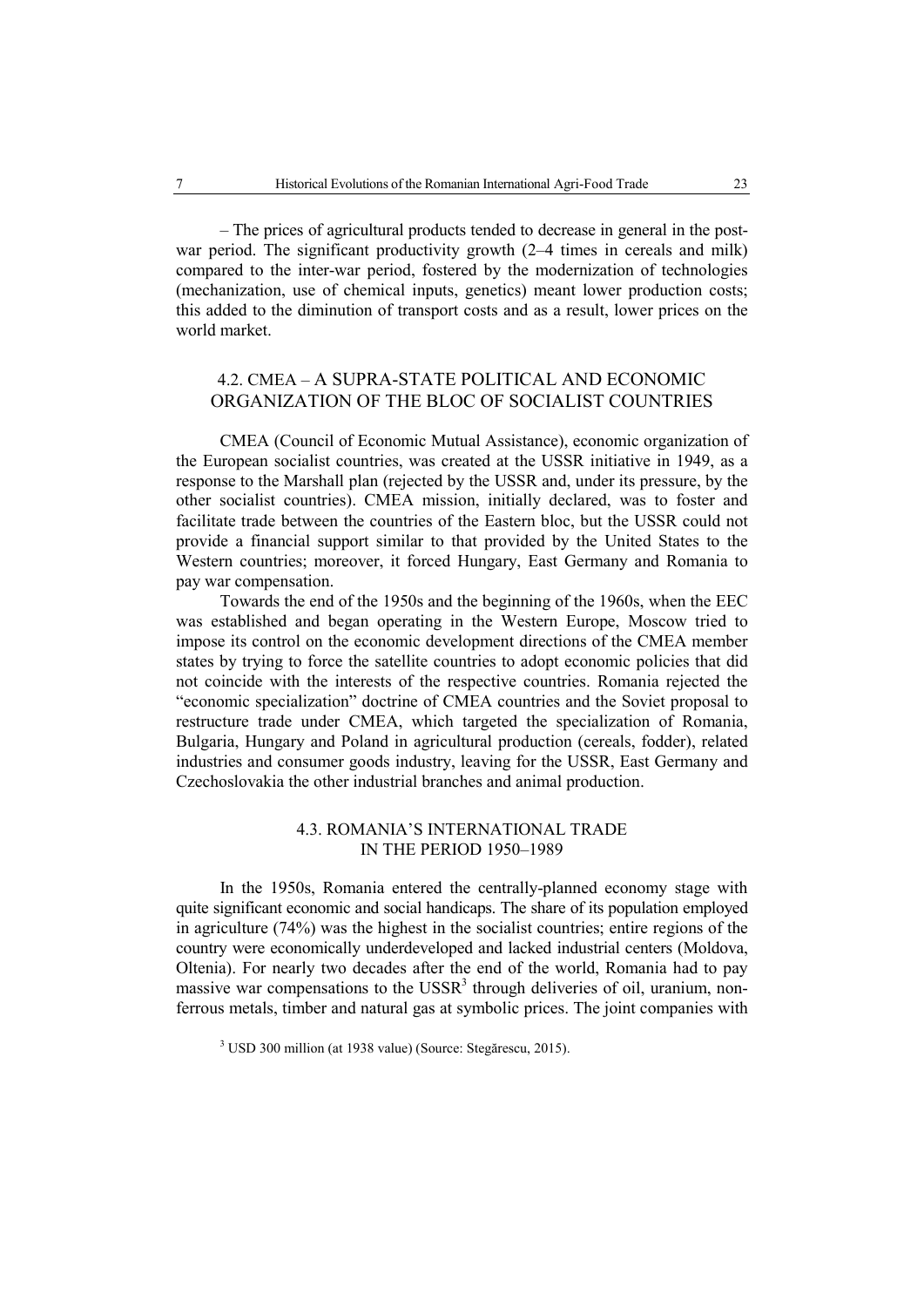– The prices of agricultural products tended to decrease in general in the postwar period. The significant productivity growth  $(2-4)$  times in cereals and milk) compared to the inter-war period, fostered by the modernization of technologies (mechanization, use of chemical inputs, genetics) meant lower production costs; this added to the diminution of transport costs and as a result, lower prices on the world market.

## 4.2. CMEA – A SUPRA-STATE POLITICAL AND ECONOMIC ORGANIZATION OF THE BLOC OF SOCIALIST COUNTRIES

CMEA (Council of Economic Mutual Assistance), economic organization of the European socialist countries, was created at the USSR initiative in 1949, as a response to the Marshall plan (rejected by the USSR and, under its pressure, by the other socialist countries). CMEA mission, initially declared, was to foster and facilitate trade between the countries of the Eastern bloc, but the USSR could not provide a financial support similar to that provided by the United States to the Western countries; moreover, it forced Hungary, East Germany and Romania to pay war compensation.

Towards the end of the 1950s and the beginning of the 1960s, when the EEC was established and began operating in the Western Europe, Moscow tried to impose its control on the economic development directions of the CMEA member states by trying to force the satellite countries to adopt economic policies that did not coincide with the interests of the respective countries. Romania rejected the "economic specialization" doctrine of CMEA countries and the Soviet proposal to restructure trade under CMEA, which targeted the specialization of Romania, Bulgaria, Hungary and Poland in agricultural production (cereals, fodder), related industries and consumer goods industry, leaving for the USSR, East Germany and Czechoslovakia the other industrial branches and animal production.

## 4.3. ROMANIA'S INTERNATIONAL TRADE IN THE PERIOD 1950–1989

In the 1950s, Romania entered the centrally-planned economy stage with quite significant economic and social handicaps. The share of its population employed in agriculture (74%) was the highest in the socialist countries; entire regions of the country were economically underdeveloped and lacked industrial centers (Moldova, Oltenia). For nearly two decades after the end of the world, Romania had to pay massive war compensations to the USSR<sup>3</sup> through deliveries of oil, uranium, nonferrous metals, timber and natural gas at symbolic prices. The joint companies with

<sup>&</sup>lt;sup>3</sup> USD 300 million (at 1938 value) (Source: Stegărescu, 2015).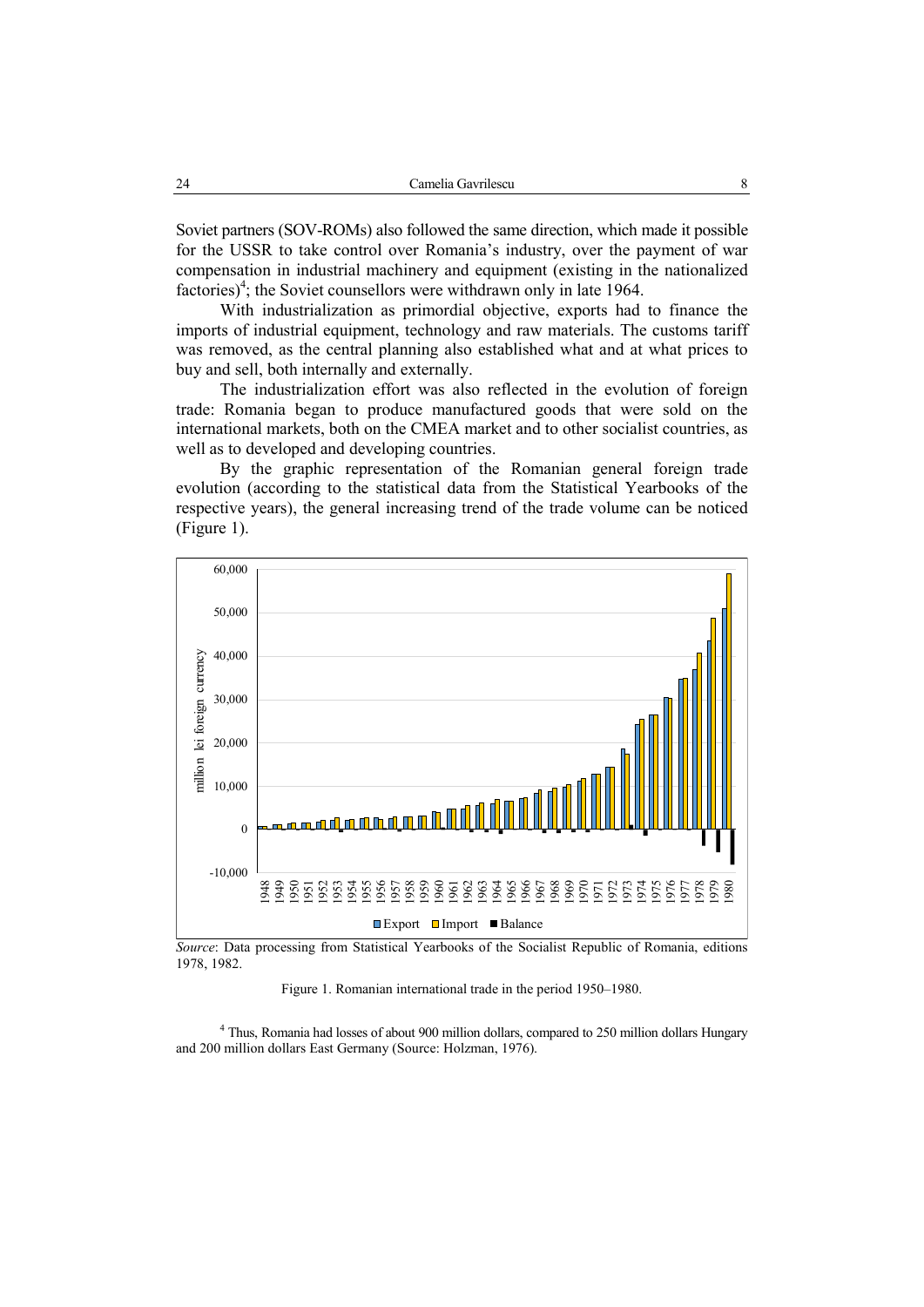Soviet partners (SOV-ROMs) also followed the same direction, which made it possible for the USSR to take control over Romania's industry, over the payment of war compensation in industrial machinery and equipment (existing in the nationalized factories)<sup>4</sup>; the Soviet counsellors were withdrawn only in late 1964.

With industrialization as primordial objective, exports had to finance the imports of industrial equipment, technology and raw materials. The customs tariff was removed, as the central planning also established what and at what prices to buy and sell, both internally and externally.

The industrialization effort was also reflected in the evolution of foreign trade: Romania began to produce manufactured goods that were sold on the international markets, both on the CMEA market and to other socialist countries, as well as to developed and developing countries.

By the graphic representation of the Romanian general foreign trade evolution (according to the statistical data from the Statistical Yearbooks of the respective years), the general increasing trend of the trade volume can be noticed (Figure 1).



*Source*: Data processing from Statistical Yearbooks of the Socialist Republic of Romania, editions 1978, 1982.

Figure 1. Romanian international trade in the period 1950–1980.

<sup>4</sup> Thus, Romania had losses of about 900 million dollars, compared to 250 million dollars Hungary and 200 million dollars East Germany (Source: Holzman, 1976).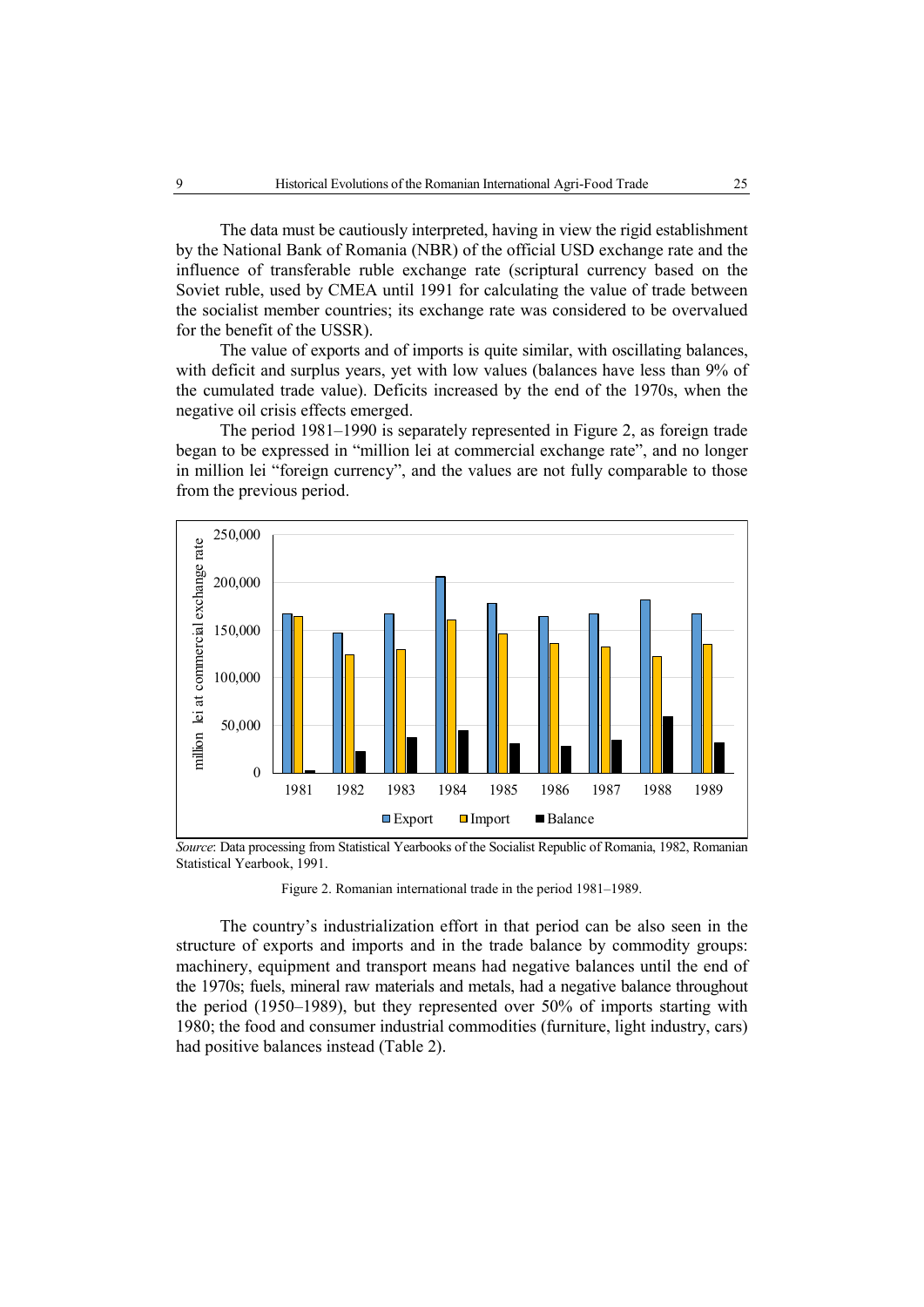The data must be cautiously interpreted, having in view the rigid establishment by the National Bank of Romania (NBR) of the official USD exchange rate and the influence of transferable ruble exchange rate (scriptural currency based on the Soviet ruble, used by CMEA until 1991 for calculating the value of trade between the socialist member countries; its exchange rate was considered to be overvalued for the benefit of the USSR).

The value of exports and of imports is quite similar, with oscillating balances, with deficit and surplus years, yet with low values (balances have less than 9% of the cumulated trade value). Deficits increased by the end of the 1970s, when the negative oil crisis effects emerged.

The period 1981–1990 is separately represented in Figure 2, as foreign trade began to be expressed in "million lei at commercial exchange rate", and no longer in million lei "foreign currency", and the values are not fully comparable to those from the previous period.



*Source*: Data processing from Statistical Yearbooks of the Socialist Republic of Romania, 1982, Romanian Statistical Yearbook, 1991.

Figure 2. Romanian international trade in the period 1981–1989.

The country's industrialization effort in that period can be also seen in the structure of exports and imports and in the trade balance by commodity groups: machinery, equipment and transport means had negative balances until the end of the 1970s; fuels, mineral raw materials and metals, had a negative balance throughout the period (1950–1989), but they represented over 50% of imports starting with 1980; the food and consumer industrial commodities (furniture, light industry, cars) had positive balances instead (Table 2).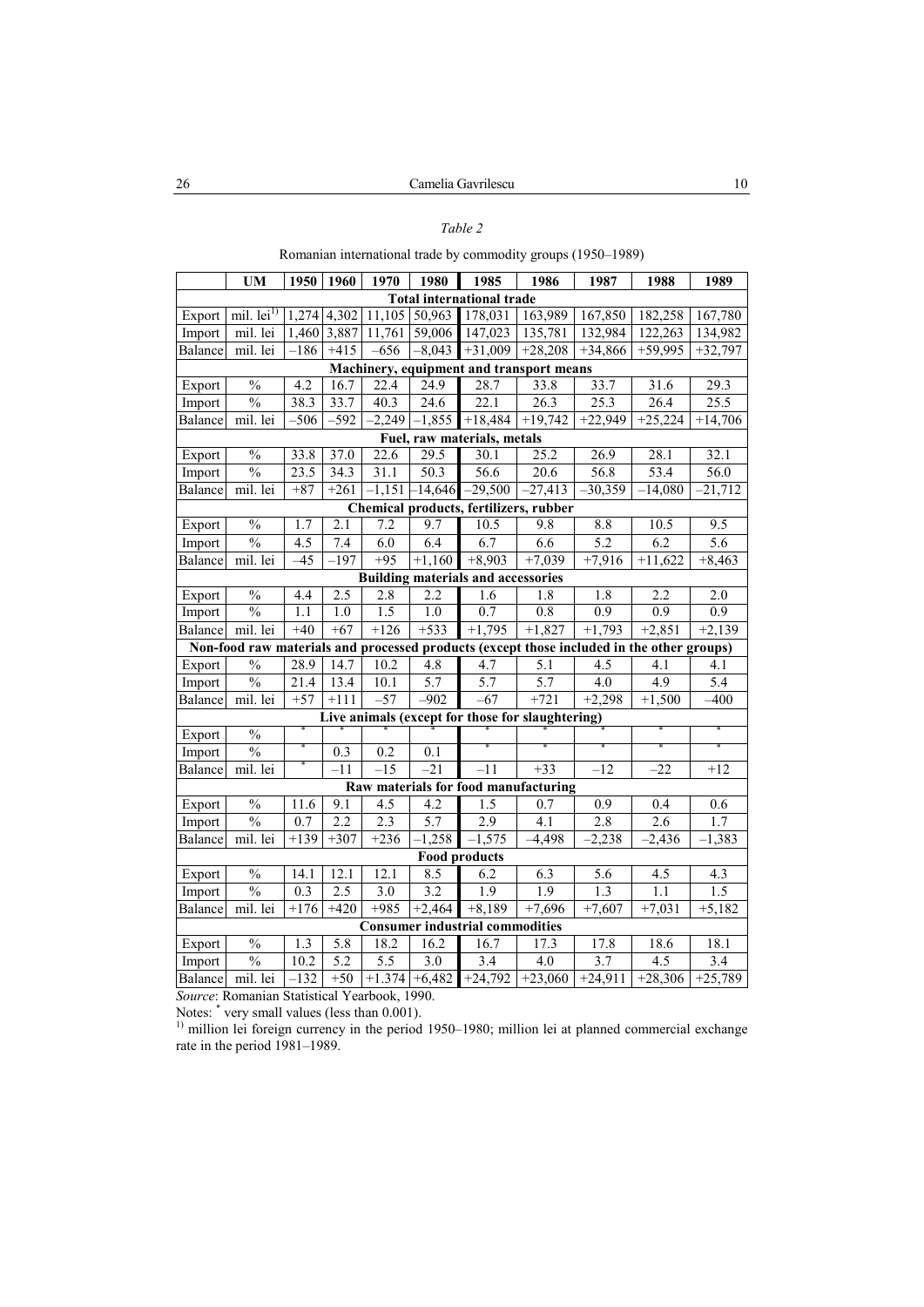## *Table 2*

Romanian international trade by commodity groups (1950–1989)

|                             | <b>UM</b>                    | 1950              | 1960             | 1970             | 1980              | 1985                                      | 1986                                                                                      | 1987              | 1988                | 1989              |
|-----------------------------|------------------------------|-------------------|------------------|------------------|-------------------|-------------------------------------------|-------------------------------------------------------------------------------------------|-------------------|---------------------|-------------------|
|                             |                              |                   |                  |                  |                   | <b>Total international trade</b>          |                                                                                           |                   |                     |                   |
| Export                      | mil. $lei1$                  |                   | 1,274 4,302      | 11,105           | 50,963            | 178,031                                   | 163,989                                                                                   | 167,850           | 182,258             | 167,780           |
| Import                      | mil. lei                     | 1,460             | 3,887            | 11,761           | 59,006            | 147,023                                   | 135,781                                                                                   | 132,984           | 122,263             | 134,982           |
| Balance                     | mil. lei                     | $-186$            | $+415$           | $-656$           | $-8,043$          | $+31,009$                                 | $+28,208$                                                                                 | $+34,866$         | $+59,995$           | $+32,797$         |
|                             |                              |                   |                  |                  |                   |                                           | Machinery, equipment and transport means                                                  |                   |                     |                   |
| Export                      | $\frac{0}{6}$                | 4.2               | 16.7             | 22.4             | 24.9              | 28.7                                      | 33.8                                                                                      | $\overline{33.7}$ | 31.6                | 29.3              |
| Import                      | $\overline{\frac{0}{0}}$     | 38.3              | 33.7             | 40.3             | 24.6              | 22.1                                      | 26.3                                                                                      | 25.3              | 26.4                | $25.\overline{5}$ |
| $\overline{\text{Balance}}$ | $\overline{\text{mil.}}$ lei | $-506$            | $-592$           | $-2,249$         | $-1,855$          | $+18,484$                                 | $+19,742$                                                                                 | $+22,949$         | $+25,224$           | $+14,706$         |
|                             |                              |                   |                  |                  |                   | Fuel, raw materials, metals               |                                                                                           |                   |                     |                   |
| Export                      | $\overline{\frac{0}{0}}$     | 33.8              | 37.0             | 22.6             | $\overline{29.5}$ | 30.1                                      | 25.2                                                                                      | 26.9              | 28.1                | 32.1              |
| Import                      | $\frac{0}{0}$                | $\overline{23.5}$ | 34.3             | 31.1             | $\overline{50.3}$ | 56.6                                      | $\overline{20.6}$                                                                         | 56.8              | 53.4                | 56.0              |
| Balance                     | mil. lei                     | $+87$             | $+261$           | $-1,151$         | $-14,646$         | $-29,500$                                 | $-27,413$                                                                                 | $-30,359$         | $-14,080$           | 21,712            |
|                             |                              |                   |                  |                  |                   |                                           | Chemical products, fertilizers, rubber                                                    |                   |                     |                   |
| Export                      | $\frac{0}{0}$                | 1.7               | $\overline{2.1}$ | 7.2              | 9.7               | 10.5                                      | 9.8                                                                                       | 8.8               | 10.5                | 9.5               |
| Import                      | $\frac{0}{0}$                | $\overline{4.5}$  | 7.4              | 6.0              | 6.4               | 6.7                                       | 6.6                                                                                       | 5.2               | 6.2                 | 5.6               |
| Balance                     | mil. lei                     | $-45$             | $-197$           | $+95$            | $+1,160$          | $+8,903$                                  | $+7,039$                                                                                  | $+7,916$          | $+11,622$           | $+8,463$          |
|                             |                              |                   |                  |                  |                   | <b>Building materials and accessories</b> |                                                                                           |                   |                     |                   |
| Export                      | $\frac{0}{0}$                | 4.4               | 2.5              | 2.8              | 2.2               | 1.6                                       | $\overline{1.8}$                                                                          | 1.8               | 2.2                 | 2.0               |
| Import                      | $\frac{0}{0}$                | 1.1               | $\overline{1.0}$ | $\overline{1.5}$ | $\overline{1.0}$  | 0.7                                       | 0.8                                                                                       | 0.9               | 0.9                 | 0.9               |
| Balance                     | mil. lei                     | $+40$             | $+67$            | $+126$           | $+533$            | $+1,795$                                  | $+1,827$                                                                                  | $+1,793$          | $+2,851$            | $+2,139$          |
|                             |                              |                   |                  |                  |                   |                                           | Non-food raw materials and processed products (except those included in the other groups) |                   |                     |                   |
| Export                      | $\frac{0}{6}$                | 28.9              | 14.7             | 10.2             | 4.8               | 4.7                                       | 5.1                                                                                       | 4.5               | 4.1                 | 4.1               |
| Import                      | $\frac{0}{0}$                | 21.4              | 13.4             | 10.1             | 5.7               | 5.7                                       | 5.7                                                                                       | 4.0               | 4.9                 | $\overline{5.4}$  |
| Balance                     | mil. lei                     | $+57$             | $+111$           | $-57$            | $-902$            | $-67$                                     | $+721$                                                                                    | $+2,298$          | $+1,500$            | $-400$            |
|                             |                              |                   |                  |                  |                   |                                           | Live animals (except for those for slaughtering)                                          |                   |                     |                   |
| Export                      | $\frac{0}{0}$                |                   |                  |                  |                   |                                           |                                                                                           |                   |                     |                   |
| Import                      | $\frac{0}{0}$                |                   | $\overline{0.3}$ | $\overline{0.2}$ | $\overline{0.1}$  |                                           |                                                                                           |                   |                     |                   |
| Balance                     | mil. lei                     |                   | $-11$            | $-15$            | $-21$             | $-11$                                     | $+33$                                                                                     | $-12$             | $-22$               | $+12$             |
|                             |                              |                   |                  |                  |                   |                                           | Raw materials for food manufacturing                                                      |                   |                     |                   |
| Export                      | $\frac{0}{0}$                | 11.6              | 9.1              | $\overline{4.5}$ | 4.2               | $\overline{1.5}$                          | 0.7                                                                                       | $\overline{0.9}$  | 0.4                 | 0.6               |
| Import                      | $\frac{0}{0}$                | 0.7               | 2.2              | 2.3              | 5.7               | 2.9                                       | 4.1                                                                                       | 2.8               | 2.6                 | 1.7               |
| Balance                     | mil. lei                     | $+139$            | $+307$           | $+236$           | $-1,258$          | $-1,575$                                  | $-4,498$                                                                                  | $-2,238$          | $-2,436$            | $-1,383$          |
|                             |                              |                   |                  |                  |                   | <b>Food products</b>                      |                                                                                           |                   |                     |                   |
| Export                      | $\frac{0}{6}$                | 14.1              | 12.1             | 12.1             | 8.5               | 6.2                                       | 6.3                                                                                       | 5.6               | 4.5                 | 4.3               |
| Import                      | $\frac{0}{0}$                | 0.3               | 2.5              | $\overline{3.0}$ | 3.2               | 1.9                                       | 1.9                                                                                       | 1.3               | 1.1                 | 1.5               |
| Balance                     | mil. lei                     | $+176$            | $+420$           | $+985$           | $+2,464$          | $+8,189$                                  | $+7,696$                                                                                  | $+7,607$          | $\overline{+7,031}$ | $+5,182$          |
|                             |                              |                   |                  |                  |                   | <b>Consumer industrial commodities</b>    |                                                                                           |                   |                     |                   |
| Export                      | $\frac{0}{6}$                | 1.3               | $\overline{5.8}$ | 18.2             | 16.2              | 16.7                                      | 17.3                                                                                      | 17.8              | 18.6                | 18.1              |
| Import                      | $\frac{0}{0}$                | 10.2              | $\overline{5.2}$ | 5.5              | 3.0               | 3.4                                       | 4.0                                                                                       | 3.7               | $\overline{4.5}$    | 3.4               |
| Balance                     | mil. lei                     | $-132$            | $+50$            | $+1.374$         | $+6,482$          | $+24,792$                                 | $-23,060$                                                                                 | $+24,911$         | $+28,306$           | $+25,789$         |

*Source*: Romanian Statistical Yearbook, 1990.

Notes: \* very small values (less than 0.001).

<sup>1)</sup> million lei foreign currency in the period 1950–1980; million lei at planned commercial exchange rate in the period 1981–1989.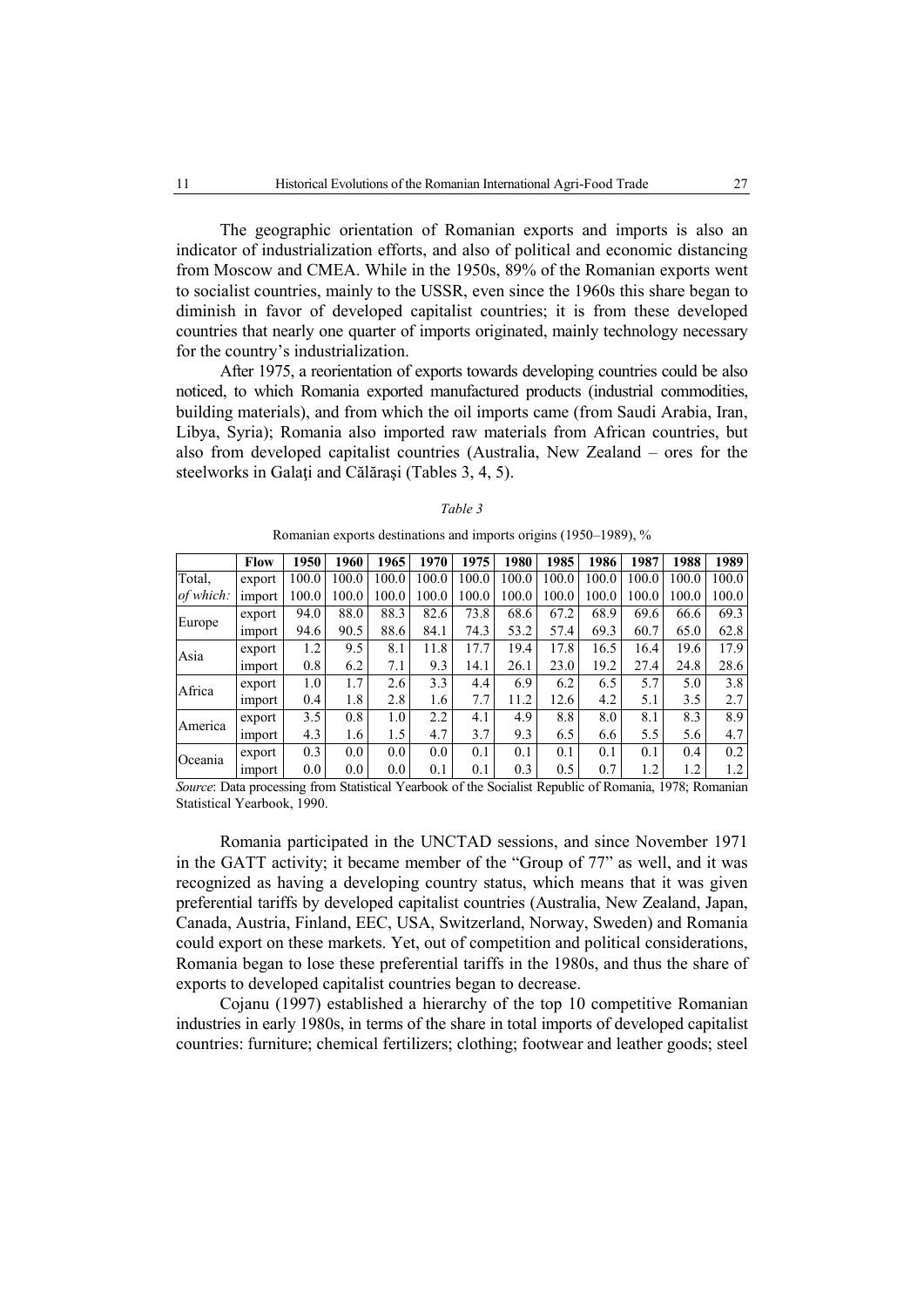The geographic orientation of Romanian exports and imports is also an indicator of industrialization efforts, and also of political and economic distancing from Moscow and CMEA. While in the 1950s, 89% of the Romanian exports went to socialist countries, mainly to the USSR, even since the 1960s this share began to diminish in favor of developed capitalist countries; it is from these developed countries that nearly one quarter of imports originated, mainly technology necessary for the country's industrialization.

After 1975, a reorientation of exports towards developing countries could be also noticed, to which Romania exported manufactured products (industrial commodities, building materials), and from which the oil imports came (from Saudi Arabia, Iran, Libya, Syria); Romania also imported raw materials from African countries, but also from developed capitalist countries (Australia, New Zealand – ores for the steelworks in Galati and Călărași (Tables 3, 4, 5).

|           | <b>Flow</b>   | 1950  | 1960  | 1965  | 1970  | 1975  | 1980  | 1985  | 1986  | 1987  | 1988  | 1989  |
|-----------|---------------|-------|-------|-------|-------|-------|-------|-------|-------|-------|-------|-------|
| Total,    | export        | 100.0 | 100.0 | 100.0 | 100.0 | 100.0 | 100.0 | 100.0 | 100.0 | 100.0 | 100.0 | 100.0 |
| of which: | import        | 100.0 | 100.0 | 100.0 | 100.0 | 100.0 | 100.0 | 100.0 | 100.0 | 100.0 | 100.0 | 100.0 |
|           | export        | 94.0  | 88.0  | 88.3  | 82.6  | 73.8  | 68.6  | 67.2  | 68.9  | 69.6  | 66.6  | 69.3  |
| Europe    | import        | 94.6  | 90.5  | 88.6  | 84.1  | 74.3  | 53.2  | 57.4  | 69.3  | 60.7  | 65.0  | 62.8  |
| Asia      | export        | 1.2   | 9.5   | 8.1   | 11.8  | 17.7  | 19.4  | 17.8  | 16.5  | 16.4  | 19.6  | 17.9  |
|           | import        | 0.8   | 6.2   | 7.1   | 9.3   | 14.1  | 26.1  | 23.0  | 19.2  | 27.4  | 24.8  | 28.6  |
| Africa    | export        | 1.0   | 1.7   | 2.6   | 3.3   | 4.4   | 6.9   | 6.2   | 6.5   | 5.7   | 5.0   | 3.8   |
|           | import        | 0.4   | 1.8   | 2.8   | 1.6   | 7.7   | 11.2  | 12.6  | 4.2   | 5.1   | 3.5   | 2.7   |
| America   | export        | 3.5   | 0.8   | 1.0   | 2.2   | 4.1   | 4.9   | 8.8   | 8.0   | 8.1   | 8.3   | 8.9   |
|           | import        | 4.3   | 1.6   | 1.5   | 4.7   | 3.7   | 9.3   | 6.5   | 6.6   | 5.5   | 5.6   | 4.7   |
| Oceania   | export        | 0.3   | 0.0   | 0.0   | 0.0   | 0.1   | 0.1   | 0.1   | 0.1   | 0.1   | 0.4   | 0.2   |
|           | <i>import</i> | 0.0   | 0.0   | 0.0   | 0.1   | 0.1   | 0.3   | 0.5   | 0.7   | 1.2   | 1.2   | 1.2   |

Romanian exports destinations and imports origins (1950–1989), %

*Source*: Data processing from Statistical Yearbook of the Socialist Republic of Romania, 1978; Romanian Statistical Yearbook, 1990.

Romania participated in the UNCTAD sessions, and since November 1971 in the GATT activity; it became member of the "Group of 77" as well, and it was recognized as having a developing country status, which means that it was given preferential tariffs by developed capitalist countries (Australia, New Zealand, Japan, Canada, Austria, Finland, EEC, USA, Switzerland, Norway, Sweden) and Romania could export on these markets. Yet, out of competition and political considerations, Romania began to lose these preferential tariffs in the 1980s, and thus the share of exports to developed capitalist countries began to decrease.

Cojanu (1997) established a hierarchy of the top 10 competitive Romanian industries in early 1980s, in terms of the share in total imports of developed capitalist countries: furniture; chemical fertilizers; clothing; footwear and leather goods; steel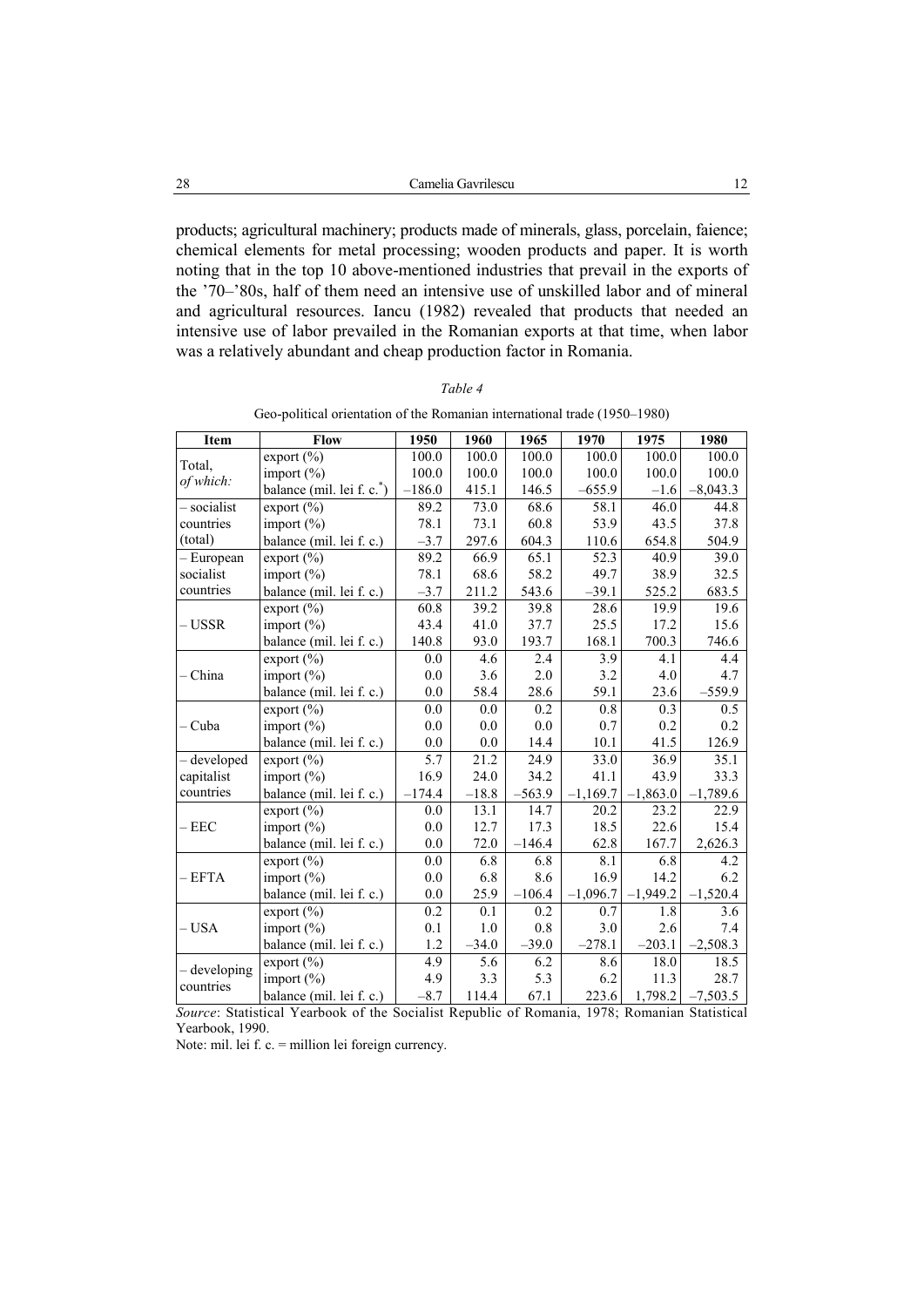products; agricultural machinery; products made of minerals, glass, porcelain, faience; chemical elements for metal processing; wooden products and paper. It is worth noting that in the top 10 above-mentioned industries that prevail in the exports of the '70–'80s, half of them need an intensive use of unskilled labor and of mineral and agricultural resources. Iancu (1982) revealed that products that needed an intensive use of labor prevailed in the Romanian exports at that time, when labor was a relatively abundant and cheap production factor in Romania.

|--|--|

| Geo-political orientation of the Romanian international trade (1950–1980) |  |  |  |  |
|---------------------------------------------------------------------------|--|--|--|--|
|                                                                           |  |  |  |  |

| Item         | Flow                      | 1950     | 1960    | 1965     | 1970              | 1975       | 1980       |
|--------------|---------------------------|----------|---------|----------|-------------------|------------|------------|
| Total,       | export (%)                | 100.0    | 100.0   | 100.0    | 100.0             | 100.0      | 100.0      |
| of which:    | import $(\% )$            | 100.0    | 100.0   | 100.0    | 100.0             | 100.0      | 100.0      |
|              | balance (mil. lei f. c.*) | $-186.0$ | 415.1   | 146.5    | $-655.9$          | $-1.6$     | $-8,043.3$ |
| - socialist  | export $(\% )$            | 89.2     | 73.0    | 68.6     | 58.1              | 46.0       | 44.8       |
| countries    | import $(\% )$            | 78.1     | 73.1    | 60.8     | 53.9              | 43.5       | 37.8       |
| (total)      | balance (mil. lei f. c.)  | $-3.7$   | 297.6   | 604.3    | 110.6             | 654.8      | 504.9      |
| - European   | export $(\% )$            | 89.2     | 66.9    | 65.1     | $\overline{52.3}$ | 40.9       | 39.0       |
| socialist    | import $(\% )$            | 78.1     | 68.6    | 58.2     | 49.7              | 38.9       | 32.5       |
| countries    | balance (mil. lei f. c.)  | $-3.7$   | 211.2   | 543.6    | $-39.1$           | 525.2      | 683.5      |
|              | export $(\% )$            | 60.8     | 39.2    | 39.8     | 28.6              | 19.9       | 19.6       |
| – USSR       | import (%)                | 43.4     | 41.0    | 37.7     | 25.5              | 17.2       | 15.6       |
|              | balance (mil. lei f. c.)  | 140.8    | 93.0    | 193.7    | 168.1             | 700.3      | 746.6      |
|              | export $(\%)$             | 0.0      | 4.6     | 2.4      | 3.9               | 4.1        | 4.4        |
| – China      | import $(\% )$            | 0.0      | 3.6     | 2.0      | 3.2               | 4.0        | 4.7        |
|              | balance (mil. lei f. c.)  | 0.0      | 58.4    | 28.6     | 59.1              | 23.6       | $-559.9$   |
|              | export $(\% )$            | 0.0      | 0.0     | 0.2      | 0.8               | 0.3        | 0.5        |
| – Cuba       | import $(\% )$            | 0.0      | 0.0     | 0.0      | 0.7               | 0.2        | 0.2        |
|              | balance (mil. lei f. c.)  | 0.0      | 0.0     | 14.4     | 10.1              | 41.5       | 126.9      |
| - developed  | export $(\% )$            | 5.7      | 21.2    | 24.9     | 33.0              | 36.9       | 35.1       |
| capitalist   | import $(\% )$            | 16.9     | 24.0    | 34.2     | 41.1              | 43.9       | 33.3       |
| countries    | balance (mil. lei f. c.)  | $-174.4$ | $-18.8$ | $-563.9$ | $-1,169.7$        | $-1,863.0$ | $-1,789.6$ |
|              | export $(\% )$            | 0.0      | 13.1    | 14.7     | 20.2              | 23.2       | 22.9       |
| $-EEC$       | import $(\% )$            | 0.0      | 12.7    | 17.3     | 18.5              | 22.6       | 15.4       |
|              | balance (mil. lei f. c.)  | 0.0      | 72.0    | $-146.4$ | 62.8              | 167.7      | 2,626.3    |
|              | export $(\% )$            | 0.0      | 6.8     | 6.8      | 8.1               | 6.8        | 4.2        |
| - EFTA       | import $(\% )$            | 0.0      | 6.8     | 8.6      | 16.9              | 14.2       | 6.2        |
|              | balance (mil. lei f. c.)  | 0.0      | 25.9    | $-106.4$ | $-1,096.7$        | $-1,949.2$ | $-1,520.4$ |
|              | export $(\% )$            | 0.2      | 0.1     | 0.2      | 0.7               | 1.8        | 3.6        |
| - USA        | import $(\% )$            | 0.1      | 1.0     | 0.8      | 3.0               | 2.6        | 7.4        |
|              | balance (mil. lei f. c.)  | 1.2      | $-34.0$ | $-39.0$  | $-278.1$          | $-203.1$   | $-2,508.3$ |
| - developing | export $(\% )$            | 4.9      | 5.6     | 6.2      | 8.6               | 18.0       | 18.5       |
| countries    | import $(\% )$            | 4.9      | 3.3     | 5.3      | 6.2               | 11.3       | 28.7       |
|              | balance (mil. lei f. c.)  | $-8.7$   | 114.4   | 67.1     | 223.6             | 1,798.2    | $-7,503.5$ |

*Source*: Statistical Yearbook of the Socialist Republic of Romania, 1978; Romanian Statistical Yearbook, 1990.

Note: mil. lei f. c. = million lei foreign currency.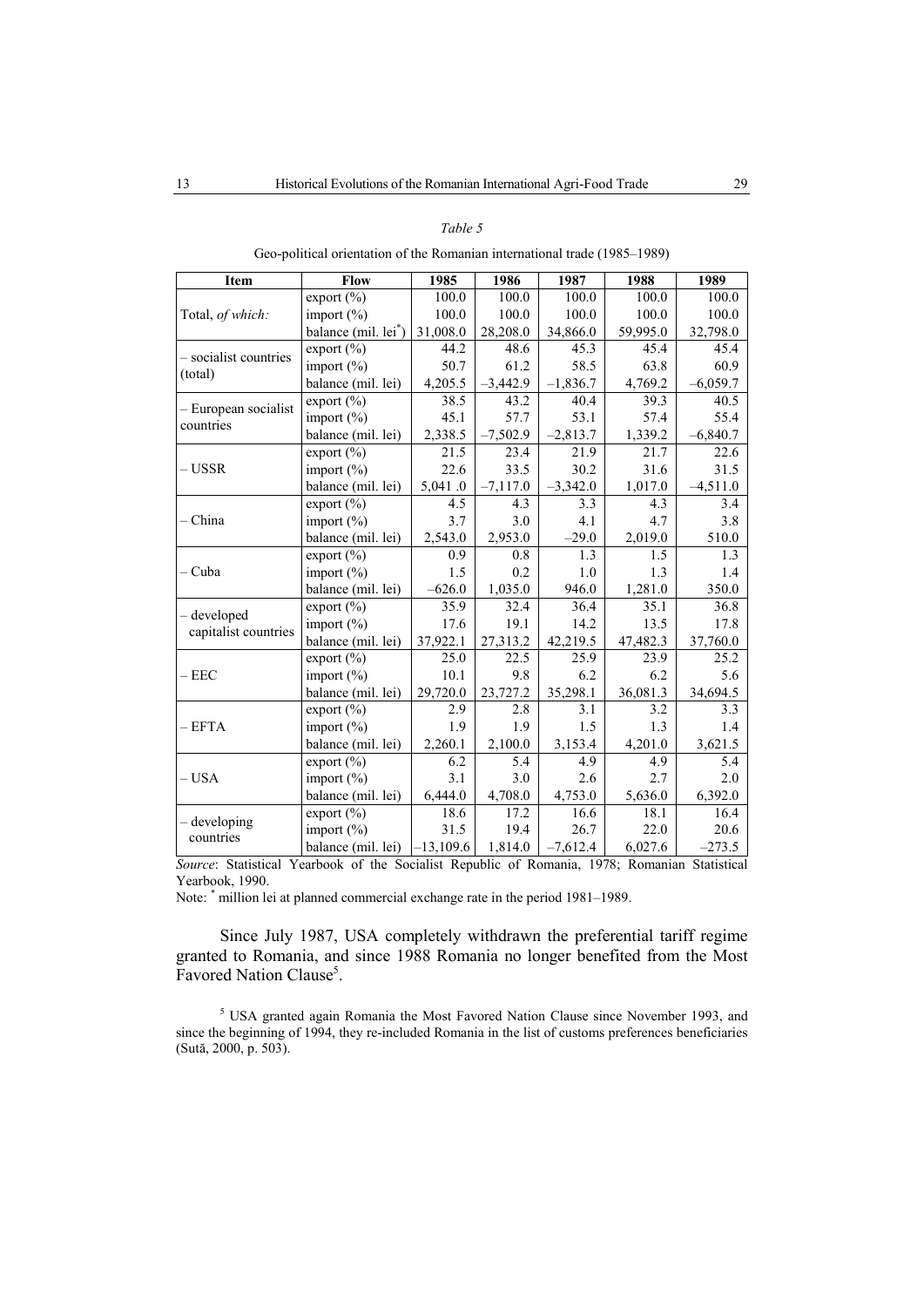#### *Table 5*

| Geo-political orientation of the Romanian international trade (1985–1989) |
|---------------------------------------------------------------------------|
|---------------------------------------------------------------------------|

| Item                  | Flow                        | 1985        | 1986       | 1987       | 1988     | 1989       |
|-----------------------|-----------------------------|-------------|------------|------------|----------|------------|
|                       | export $(\% )$              | 100.0       | 100.0      | 100.0      | 100.0    | 100.0      |
| Total, of which:      | import $(\% )$              | 100.0       | 100.0      | 100.0      | 100.0    | 100.0      |
|                       | balance (mil. lei*)         | 31,008.0    | 28,208.0   | 34,866.0   | 59,995.0 | 32,798.0   |
| - socialist countries | export $(\% )$              | 44.2        | 48.6       | 45.3       | 45.4     | 45.4       |
| (total)               | import $(\% )$              | 50.7        | 61.2       | 58.5       | 63.8     | 60.9       |
|                       | balance (mil. lei)          | 4,205.5     | $-3,442.9$ | $-1,836.7$ | 4,769.2  | $-6,059.7$ |
| - European socialist  | export $(\sqrt[6]{\theta})$ | 38.5        | 43.2       | 40.4       | 39.3     | 40.5       |
| countries             | import $(\% )$              | 45.1        | 57.7       | 53.1       | 57.4     | 55.4       |
|                       | balance (mil. lei)          | 2,338.5     | $-7,502.9$ | $-2,813.7$ | 1,339.2  | $-6,840.7$ |
|                       | export $(\% )$              | 21.5        | 23.4       | 21.9       | 21.7     | 22.6       |
| – USSR                | import $(\% )$              | 22.6        | 33.5       | 30.2       | 31.6     | 31.5       |
|                       | balance (mil. lei)          | 5,041.0     | $-7,117.0$ | $-3,342.0$ | 1,017.0  | $-4,511.0$ |
|                       | export $(\% )$              | 4.5         | 4.3        | 3.3        | 4.3      | 3.4        |
| - China               | import $(\% )$              | 3.7         | 3.0        | 4.1        | 4.7      | 3.8        |
|                       | balance (mil. lei)          | 2,543.0     | 2,953.0    | $-29.0$    | 2,019.0  | 510.0      |
|                       | export $(\% )$              | 0.9         | 0.8        | 1.3        | 1.5      | 1.3        |
| – Cuba                | import $(\% )$              | 1.5         | 0.2        | 1.0        | 1.3      | 1.4        |
|                       | balance (mil. lei)          | $-626.0$    | 1,035.0    | 946.0      | 1,281.0  | 350.0      |
| - developed           | export (%)                  | 35.9        | 32.4       | 36.4       | 35.1     | 36.8       |
| capitalist countries  | import $(\% )$              | 17.6        | 19.1       | 14.2       | 13.5     | 17.8       |
|                       | balance (mil. lei)          | 37,922.1    | 27,313.2   | 42,219.5   | 47,482.3 | 37,760.0   |
|                       | $\text{export}(\%)$         | 25.0        | 22.5       | 25.9       | 23.9     | 25.2       |
| $-$ EEC               | import $(\% )$              | 10.1        | 9.8        | 6.2        | 6.2      | 5.6        |
|                       | balance (mil. lei)          | 29,720.0    | 23,727.2   | 35,298.1   | 36,081.3 | 34,694.5   |
|                       | export $(\% )$              | 2.9         | 2.8        | 3.1        | 3.2      | 3.3        |
| – EFTA                | import $(\% )$              | 1.9         | 1.9        | 1.5        | 1.3      | 1.4        |
|                       | balance (mil. lei)          | 2,260.1     | 2,100.0    | 3,153.4    | 4,201.0  | 3,621.5    |
|                       | export $(\% )$              | 6.2         | 5.4        | 4.9        | 4.9      | 5.4        |
| – USA                 | import $(\% )$              | 3.1         | 3.0        | 2.6        | 2.7      | 2.0        |
|                       | balance (mil. lei)          | 6,444.0     | 4,708.0    | 4,753.0    | 5,636.0  | 6,392.0    |
| developing            | export $(\% )$              | 18.6        | 17.2       | 16.6       | 18.1     | 16.4       |
| countries             | import $(\% )$              | 31.5        | 19.4       | 26.7       | 22.0     | 20.6       |
|                       | balance (mil. lei)          | $-13,109.6$ | 1,814.0    | $-7,612.4$ | 6,027.6  | $-273.5$   |

*Source*: Statistical Yearbook of the Socialist Republic of Romania, 1978; Romanian Statistical Yearbook, 1990.

Note: \* million lei at planned commercial exchange rate in the period 1981–1989.

Since July 1987, USA completely withdrawn the preferential tariff regime granted to Romania, and since 1988 Romania no longer benefited from the Most Favored Nation Clause<sup>5</sup>.

<sup>5</sup> USA granted again Romania the Most Favored Nation Clause since November 1993, and since the beginning of 1994, they re-included Romania in the list of customs preferences beneficiaries (Sută, 2000, p. 503).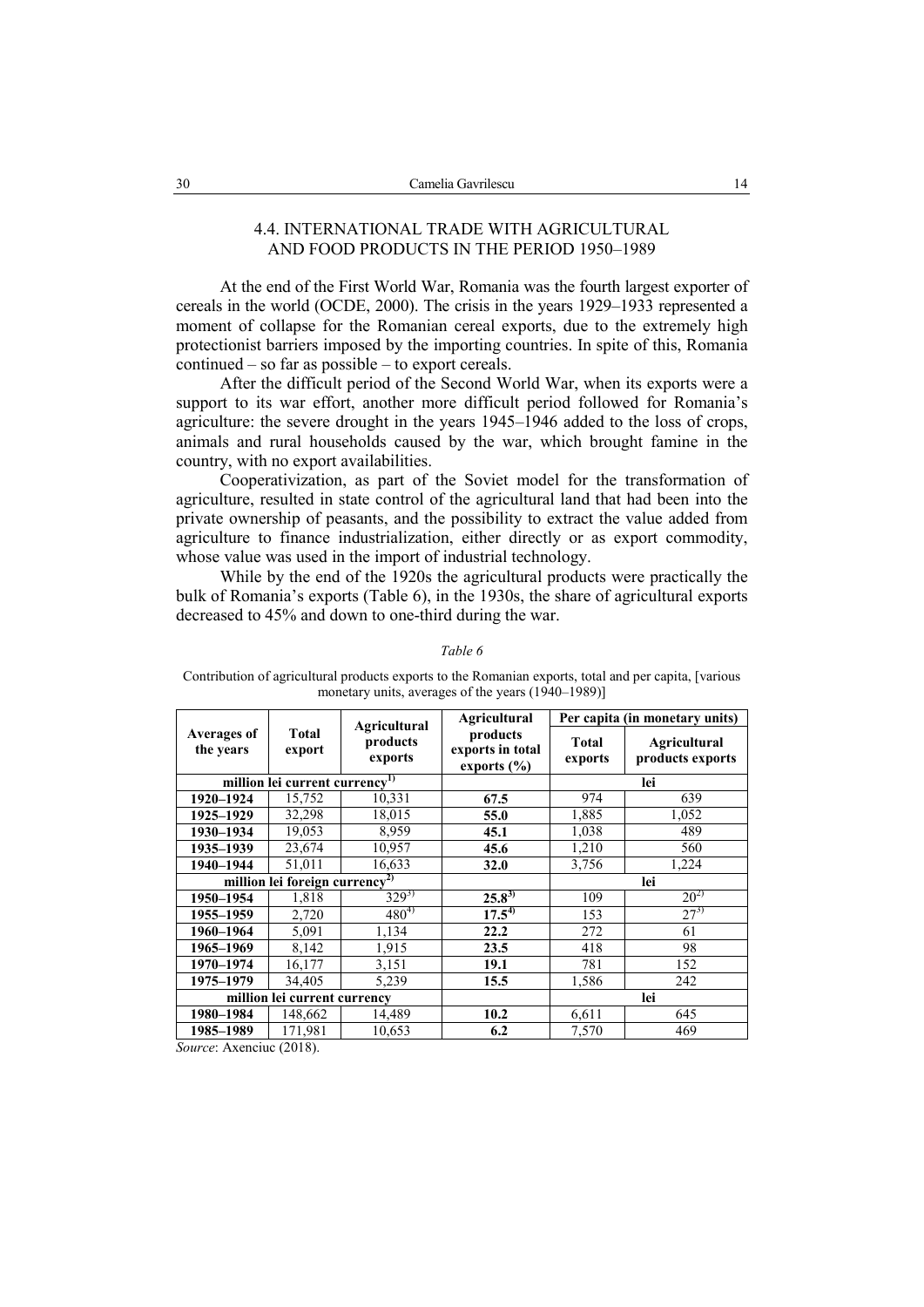## 4.4. INTERNATIONAL TRADE WITH AGRICULTURAL AND FOOD PRODUCTS IN THE PERIOD 1950–1989

At the end of the First World War, Romania was the fourth largest exporter of cereals in the world (OCDE, 2000). The crisis in the years 1929–1933 represented a moment of collapse for the Romanian cereal exports, due to the extremely high protectionist barriers imposed by the importing countries. In spite of this, Romania continued – so far as possible – to export cereals.

After the difficult period of the Second World War, when its exports were a support to its war effort, another more difficult period followed for Romania's agriculture: the severe drought in the years  $1945-1946$  added to the loss of crops, animals and rural households caused by the war, which brought famine in the country, with no export availabilities.

Cooperativization, as part of the Soviet model for the transformation of agriculture, resulted in state control of the agricultural land that had been into the private ownership of peasants, and the possibility to extract the value added from agriculture to finance industrialization, either directly or as export commodity, whose value was used in the import of industrial technology.

While by the end of the 1920s the agricultural products were practically the bulk of Romania's exports (Table 6), in the 1930s, the share of agricultural exports decreased to 45% and down to one-third during the war.

|                                 |                                            |                                            | <b>Agricultural</b>                             |                         | Per capita (in monetary units)          |
|---------------------------------|--------------------------------------------|--------------------------------------------|-------------------------------------------------|-------------------------|-----------------------------------------|
| <b>Averages of</b><br>the years | <b>Total</b><br>export                     | <b>Agricultural</b><br>products<br>exports | products<br>exports in total<br>exports $(\% )$ | <b>Total</b><br>exports | <b>Agricultural</b><br>products exports |
|                                 | million lei current currency <sup>1)</sup> |                                            |                                                 |                         | lei                                     |
| 1920-1924                       | 15,752                                     | 10,331                                     | 67.5                                            | 974                     | 639                                     |
| 1925-1929                       | 32,298                                     | 18,015                                     | 55.0                                            | 1,885                   | 1,052                                   |
| 1930-1934                       | 19,053                                     | 8,959                                      | 45.1                                            | 1,038                   | 489                                     |
| 1935–1939                       | 23,674                                     | 10,957                                     | 45.6                                            | 1,210                   | 560                                     |
| 1940-1944                       | 51,011                                     | 16,633                                     | 32.0                                            | 3,756                   | 1,224                                   |
|                                 | million lei foreign currency <sup>2)</sup> |                                            |                                                 |                         | lei                                     |
| 1950-1954                       | 1,818                                      | $329^{3}$                                  | $25.8^{3}$                                      | 109                     | $20^{2}$                                |
| 1955-1959                       | 2,720                                      | $480^{4}$                                  | $17.5^{4}$                                      | 153                     | $27^{3}$                                |
| 1960-1964                       | 5,091                                      | 1,134                                      | 22.2                                            | 272                     | 61                                      |
| 1965–1969                       | 8,142                                      | 1,915                                      | 23.5                                            | 418                     | 98                                      |
| 1970-1974                       | 16,177                                     | 3,151                                      | 19.1                                            | 781                     | 152                                     |
| 1975-1979                       | 34,405                                     | 5,239                                      | 15.5                                            | 1,586                   | 242                                     |
|                                 | million lei current currency               |                                            |                                                 |                         | lei                                     |
| 1980-1984                       | 148,662                                    | 14,489                                     | 10.2                                            | 6,611                   | 645                                     |
| 1985-1989                       | 171,981                                    | 10,653                                     | 6.2                                             | 7,570                   | 469                                     |

#### *Table 6*

Contribution of agricultural products exports to the Romanian exports, total and per capita, [various monetary units, averages of the years (1940–1989)]

*Source*: Axenciuc (2018).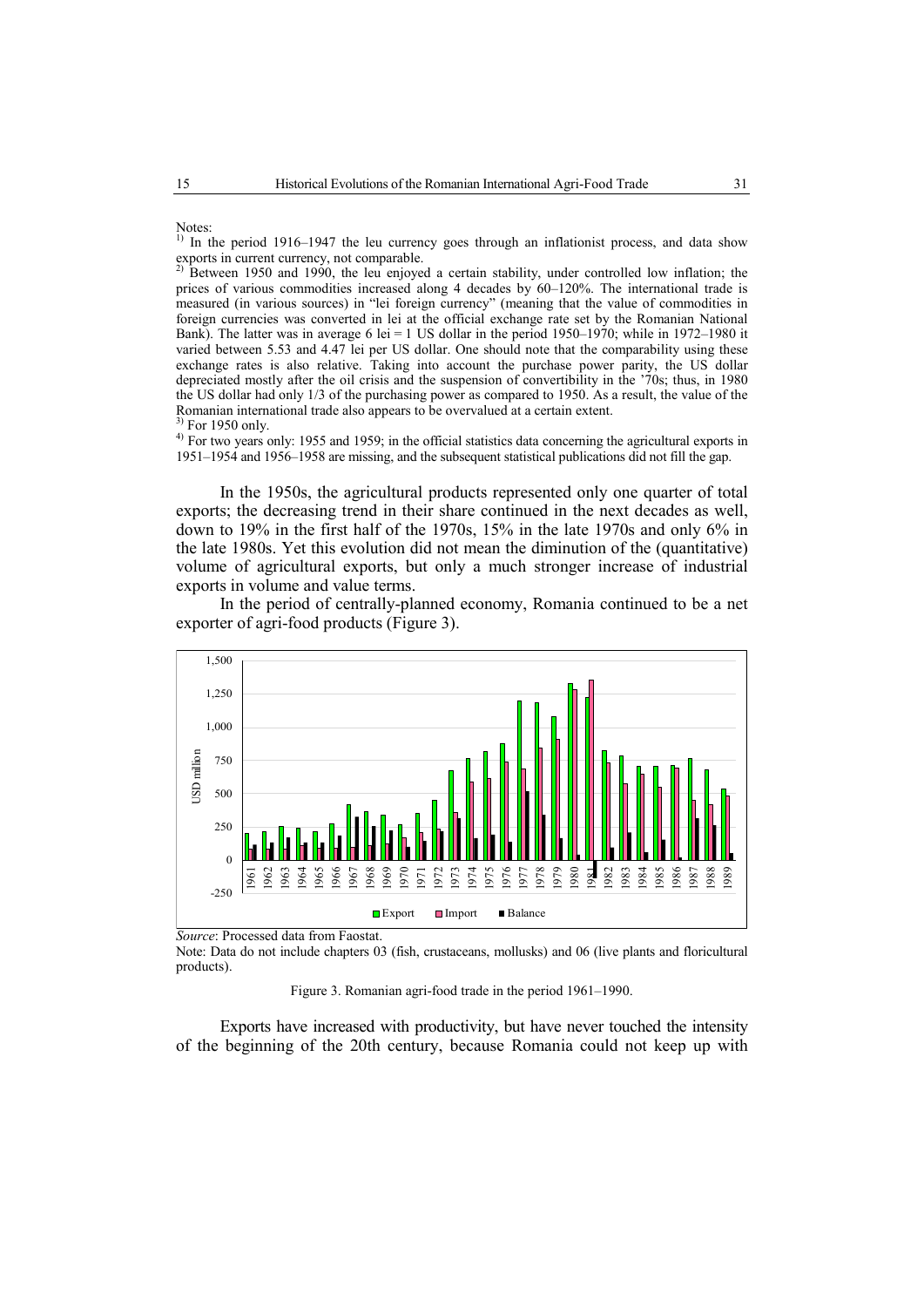Notes:

<sup>1)</sup> In the period 1916–1947 the leu currency goes through an inflationist process, and data show exports in current currency, not comparable.<br><sup>2)</sup> Between 1950.

2) Between 1950 and 1990, the leu enjoyed a certain stability, under controlled low inflation; the prices of various commodities increased along 4 decades by 60–120%. The international trade is measured (in various sources) in "lei foreign currency" (meaning that the value of commodities in foreign currencies was converted in lei at the official exchange rate set by the Romanian National Bank). The latter was in average 6 lei = 1 US dollar in the period  $1950-1970$ ; while in 1972–1980 it varied between 5.53 and 4.47 lei per US dollar. One should note that the comparability using these exchange rates is also relative. Taking into account the purchase power parity, the US dollar depreciated mostly after the oil crisis and the suspension of convertibility in the '70s; thus, in 1980 the US dollar had only 1/3 of the purchasing power as compared to 1950. As a result, the value of the Romanian international trade also appears to be overvalued at a certain extent.  $3)$  For 1950 only.

<sup>4)</sup> For two years only: 1955 and 1959; in the official statistics data concerning the agricultural exports in 1951–1954 and 1956–1958 are missing, and the subsequent statistical publications did not fill the gap.

In the 1950s, the agricultural products represented only one quarter of total exports; the decreasing trend in their share continued in the next decades as well, down to 19% in the first half of the 1970s, 15% in the late 1970s and only 6% in the late 1980s. Yet this evolution did not mean the diminution of the (quantitative) volume of agricultural exports, but only a much stronger increase of industrial exports in volume and value terms.

In the period of centrally-planned economy, Romania continued to be a net exporter of agri-food products (Figure 3).



*Source*: Processed data from Faostat.

Note: Data do not include chapters 03 (fish, crustaceans, mollusks) and 06 (live plants and floricultural products).

Figure 3. Romanian agri-food trade in the period 1961–1990.

Exports have increased with productivity, but have never touched the intensity of the beginning of the 20th century, because Romania could not keep up with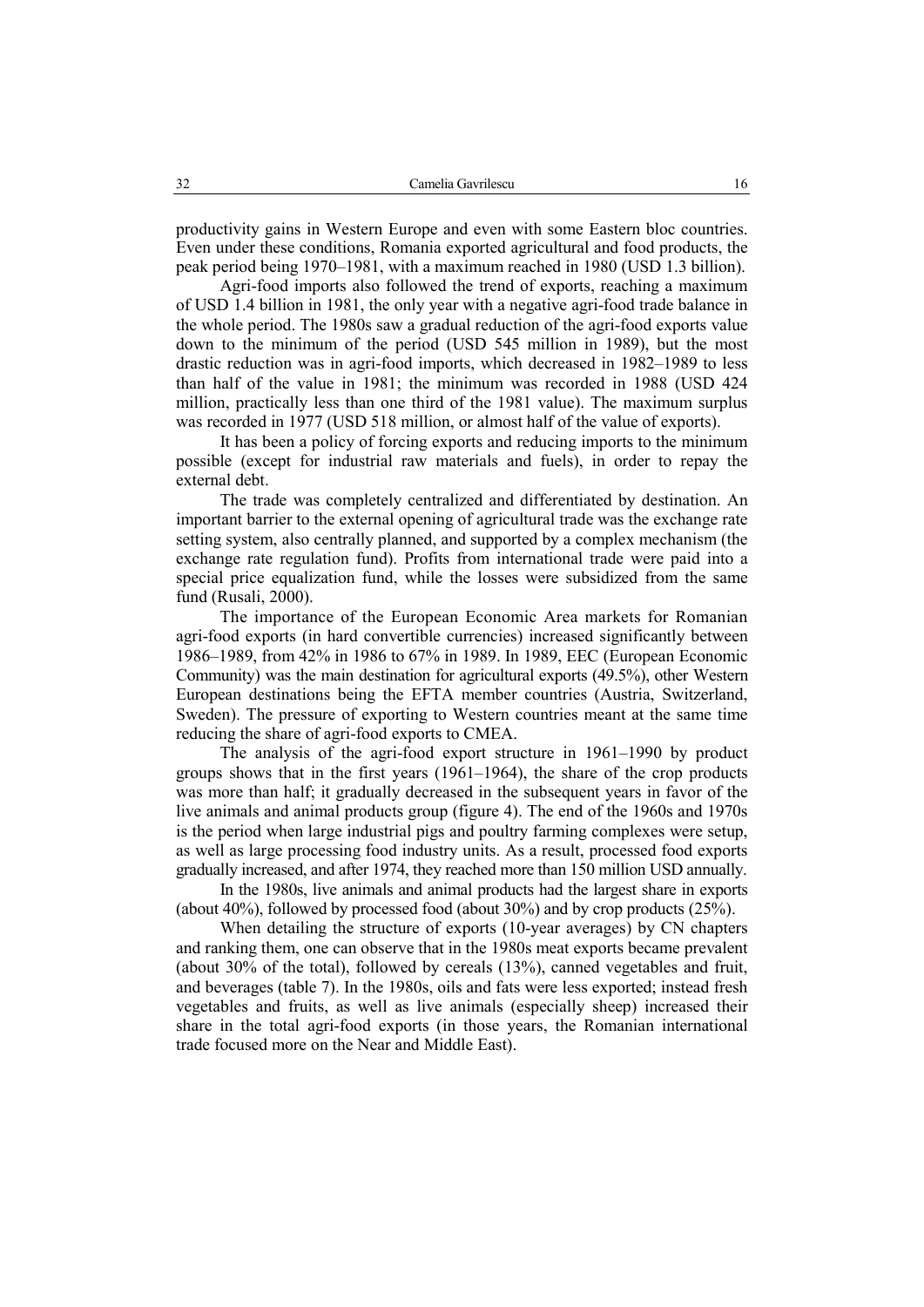productivity gains in Western Europe and even with some Eastern bloc countries. Even under these conditions, Romania exported agricultural and food products, the peak period being 1970–1981, with a maximum reached in 1980 (USD 1.3 billion).

Agri-food imports also followed the trend of exports, reaching a maximum of USD 1.4 billion in 1981, the only year with a negative agri-food trade balance in the whole period. The 1980s saw a gradual reduction of the agri-food exports value down to the minimum of the period (USD 545 million in 1989), but the most drastic reduction was in agri-food imports, which decreased in 1982–1989 to less than half of the value in 1981; the minimum was recorded in 1988 (USD 424 million, practically less than one third of the 1981 value). The maximum surplus was recorded in 1977 (USD 518 million, or almost half of the value of exports).

It has been a policy of forcing exports and reducing imports to the minimum possible (except for industrial raw materials and fuels), in order to repay the external debt.

The trade was completely centralized and differentiated by destination. An important barrier to the external opening of agricultural trade was the exchange rate setting system, also centrally planned, and supported by a complex mechanism (the exchange rate regulation fund). Profits from international trade were paid into a special price equalization fund, while the losses were subsidized from the same fund (Rusali, 2000).

The importance of the European Economic Area markets for Romanian agri-food exports (in hard convertible currencies) increased significantly between 1986–1989, from 42% in 1986 to 67% in 1989. In 1989, EEC (European Economic Community) was the main destination for agricultural exports (49.5%), other Western European destinations being the EFTA member countries (Austria, Switzerland, Sweden). The pressure of exporting to Western countries meant at the same time reducing the share of agri-food exports to CMEA.

The analysis of the agri-food export structure in 1961–1990 by product groups shows that in the first years (1961–1964), the share of the crop products was more than half; it gradually decreased in the subsequent years in favor of the live animals and animal products group (figure 4). The end of the 1960s and 1970s is the period when large industrial pigs and poultry farming complexes were setup, as well as large processing food industry units. As a result, processed food exports gradually increased, and after 1974, they reached more than 150 million USD annually.

In the 1980s, live animals and animal products had the largest share in exports (about 40%), followed by processed food (about 30%) and by crop products (25%).

When detailing the structure of exports (10-year averages) by CN chapters and ranking them, one can observe that in the 1980s meat exports became prevalent (about 30% of the total), followed by cereals (13%), canned vegetables and fruit, and beverages (table 7). In the 1980s, oils and fats were less exported; instead fresh vegetables and fruits, as well as live animals (especially sheep) increased their share in the total agri-food exports (in those years, the Romanian international trade focused more on the Near and Middle East).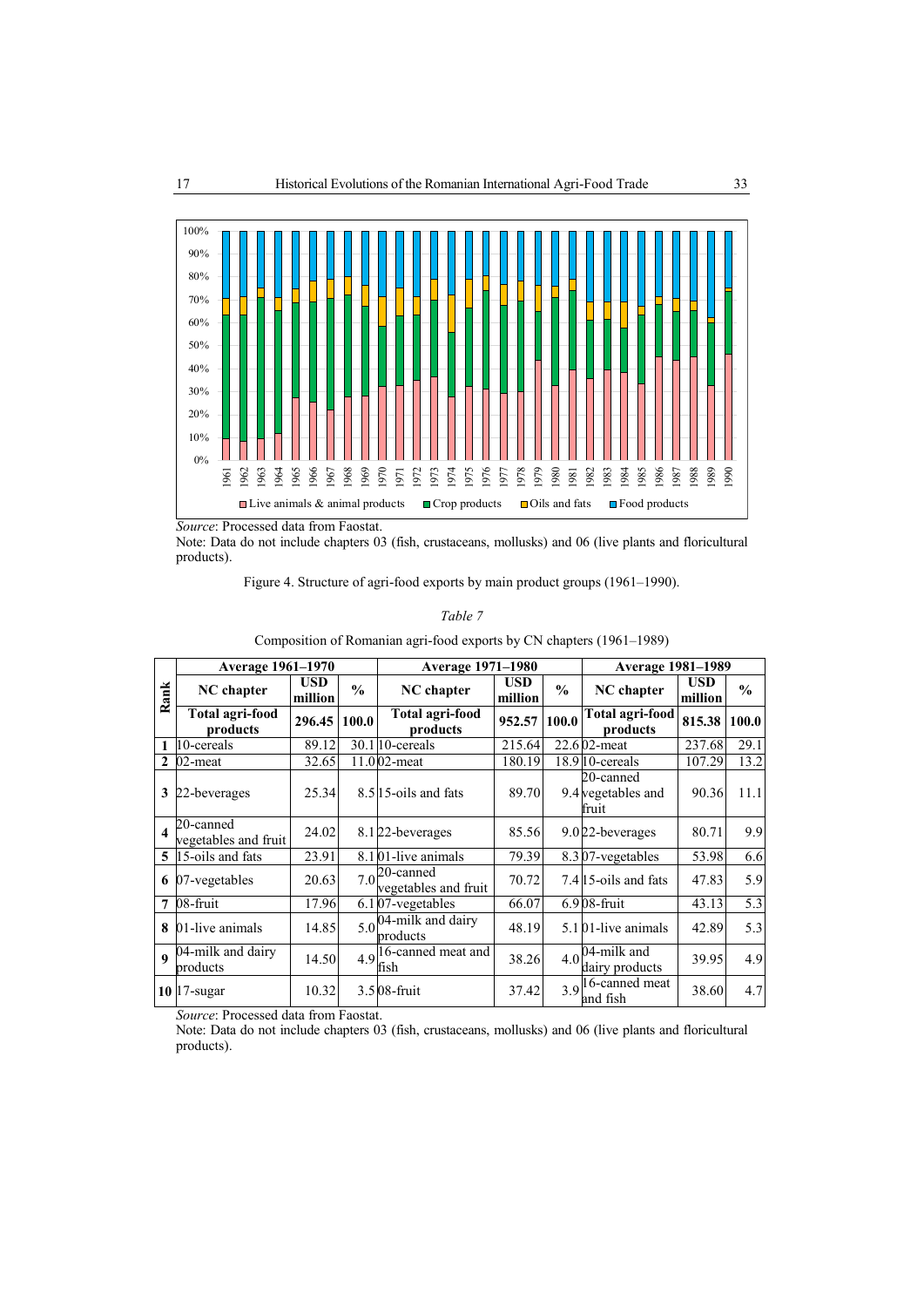

*Source*: Processed data from Faostat.

Note: Data do not include chapters 03 (fish, crustaceans, mollusks) and 06 (live plants and floricultural products).

Figure 4. Structure of agri-food exports by main product groups (1961–1990).

#### *Table 7*

|                  |                                   |                       |               | Composition of Romanian agri-food exports by CIV emplois (1901–1909)           |                       |               |                                             |                |               |
|------------------|-----------------------------------|-----------------------|---------------|--------------------------------------------------------------------------------|-----------------------|---------------|---------------------------------------------|----------------|---------------|
|                  | Average 1961-1970                 |                       |               | <b>Average 1971-1980</b>                                                       |                       |               | <b>Average 1981-1989</b>                    |                |               |
| Rank             | NC chapter                        | <b>USD</b><br>million | $\frac{0}{0}$ | NC chapter                                                                     | <b>USD</b><br>million | $\frac{0}{0}$ | NC chapter                                  | USD<br>million | $\frac{0}{0}$ |
|                  | Total agri-food<br>products       | 296.45                | 100.0         | Total agri-food<br>products                                                    | 952.57                | 100.0         | <b>Total agri-food</b><br>products          | 815.38         | 100.0         |
|                  | 10-cereals                        | 89.12                 |               | $30.1$ 10-cereals                                                              | 215.64                |               | 22.602-meat                                 | 237.68         | 29.1          |
| $\mathbf{2}$     | 02-meat                           | 32.65                 |               | 11.002-meat                                                                    | 180.19                |               | $18.910$ -cereals                           | 107.29         | 13.2          |
| 3                | 22-beverages                      | 25.34                 |               | 8.5 15-oils and fats                                                           | 89.70                 |               | 20-canned<br>9.4 vegetables and<br>fruit    | 90.36          | 11.1          |
| $\boldsymbol{4}$ | 20-canned<br>vegetables and fruit | 24.02                 |               | 8.122-beverages                                                                | 85.56                 |               | 9.022-beverages                             | 80.71          | 9.9           |
|                  | 5 15-oils and fats                | 23.91                 |               | 8.101-live animals                                                             | 79.39                 |               | 8.307-vegetables                            | 53.98          | 6.6           |
| 6                | 07-vegetables                     | 20.63                 |               | $7.0$ <sup>20-canned</sup><br>vegetables and fruit                             | 70.72                 |               | 7.415-oils and fats                         | 47.83          | 5.9           |
| 7                | 08-fruit                          | 17.96                 |               | 6.107-vegetables                                                               | 66.07                 |               | $6.908$ -fruit                              | 43.13          | 5.3           |
| 8                | 01-live animals                   | 14.85                 |               | $5.0$ <sup>04-milk</sup> and dairy<br>products                                 | 48.19                 |               | $5.101$ -live animals                       | 42.89          | 5.3           |
| $\mathbf{o}$     | 04-milk and dairy<br>products     | 14.50                 |               | $4.9\begin{bmatrix} 16 \text{-canned meat and} \\ 16.16 \end{bmatrix}$<br>fish | 38.26                 | 4.0           | 04-milk and<br>dairy products               | 39.95          | 4.9           |
|                  | $10$ 17-sugar                     | 10.32                 |               | 3.508-fruit                                                                    | 37.42                 |               | $3.9$ <sup>16-canned meat</sup><br>and fish | 38.60          | 4.7           |

Composition of Romanian agri-food exports by CN chapters (1961–1989)

*Source*: Processed data from Faostat.

Note: Data do not include chapters 03 (fish, crustaceans, mollusks) and 06 (live plants and floricultural products).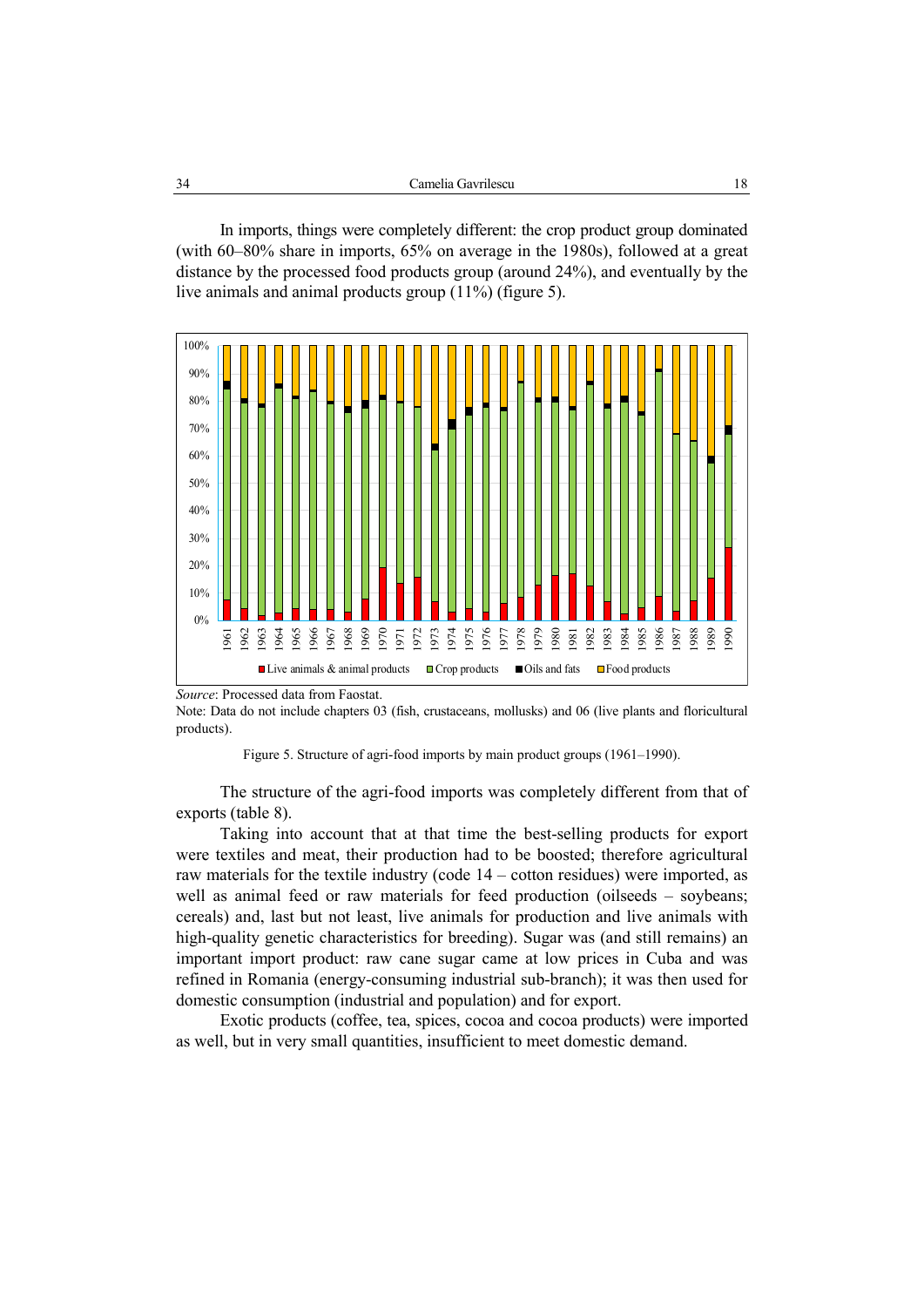In imports, things were completely different: the crop product group dominated (with 60–80% share in imports, 65% on average in the 1980s), followed at a great distance by the processed food products group (around 24%), and eventually by the live animals and animal products group (11%) (figure 5).



*Source*: Processed data from Faostat.

Note: Data do not include chapters 03 (fish, crustaceans, mollusks) and 06 (live plants and floricultural products).

Figure 5. Structure of agri-food imports by main product groups (1961–1990).

The structure of the agri-food imports was completely different from that of exports (table 8).

Taking into account that at that time the best-selling products for export were textiles and meat, their production had to be boosted; therefore agricultural raw materials for the textile industry (code 14 – cotton residues) were imported, as well as animal feed or raw materials for feed production (oilseeds – soybeans; cereals) and, last but not least, live animals for production and live animals with high-quality genetic characteristics for breeding). Sugar was (and still remains) an important import product: raw cane sugar came at low prices in Cuba and was refined in Romania (energy-consuming industrial sub-branch); it was then used for domestic consumption (industrial and population) and for export.

Exotic products (coffee, tea, spices, cocoa and cocoa products) were imported as well, but in very small quantities, insufficient to meet domestic demand.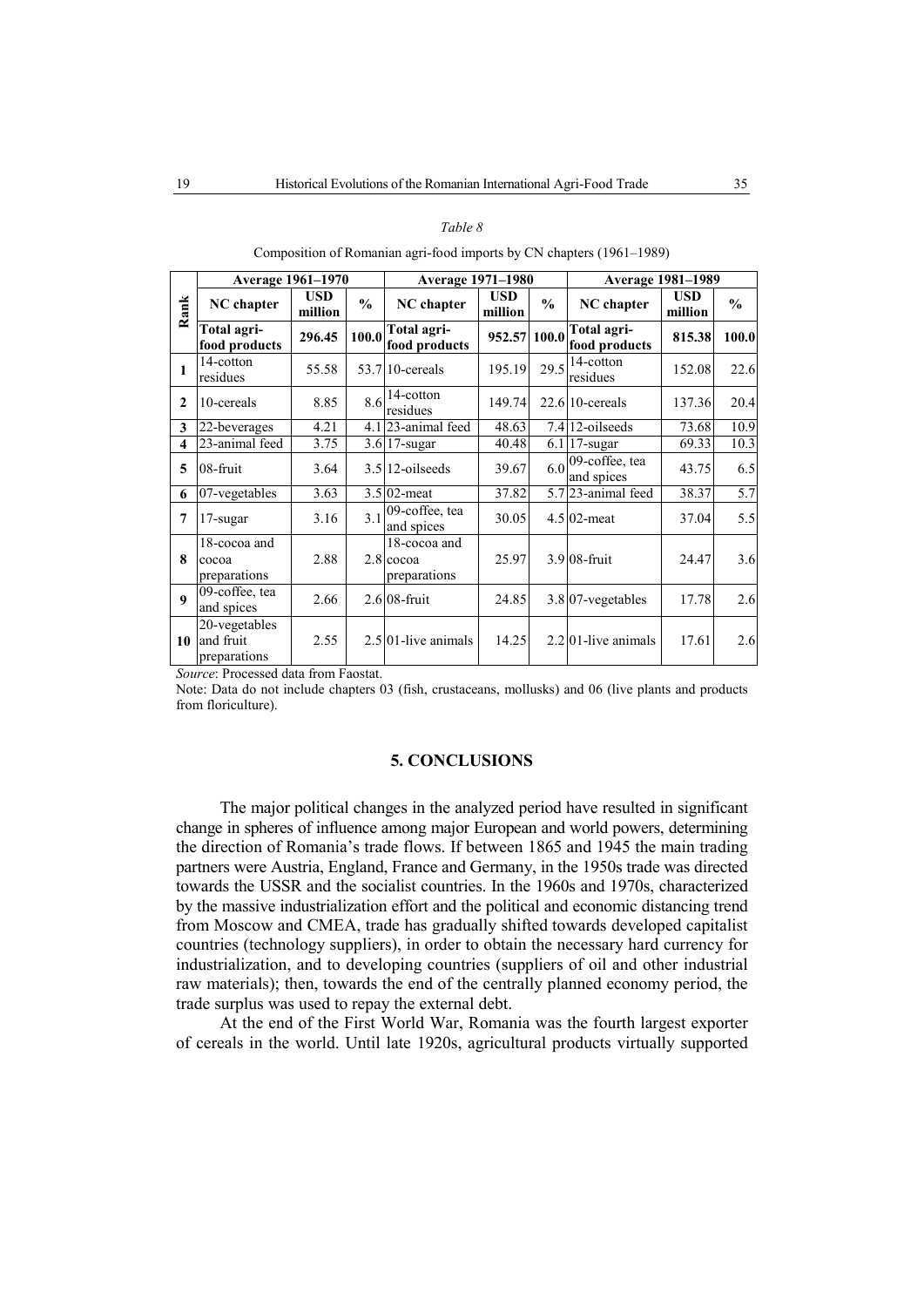| $\alpha$ ni |
|-------------|
|-------------|

Composition of Romanian agri-food imports by CN chapters (1961–1989)

|              | Average 1961-1970                          |                       |               | <b>Average 1971-1980</b>                    |                       |               | <b>Average 1981-1989</b>     |                       |               |
|--------------|--------------------------------------------|-----------------------|---------------|---------------------------------------------|-----------------------|---------------|------------------------------|-----------------------|---------------|
| Rank         | NC chapter                                 | <b>USD</b><br>million | $\frac{0}{0}$ | <b>NC</b> chapter                           | <b>USD</b><br>million | $\frac{0}{0}$ | NC chapter                   | <b>USD</b><br>million | $\frac{0}{0}$ |
|              | Total agri-<br>food products               | 296.45                | 100.0         | Total agri-<br>food products                | 952.57 100.0          |               | Total agri-<br>food products | 815.38                | 100.0         |
| 1            | 14-cotton<br>residues                      | 55.58                 |               | $53.7$ 10-cereals                           | 195.19                | 29.5          | 14-cotton<br>residues        | 152.08                | 22.6          |
| $\mathbf{2}$ | 10-cereals                                 | 8.85                  | 8.6           | 14-cotton<br>residues                       | 149.74                |               | $22.6$ 10-cereals            | 137.36                | 20.4          |
| 3            | 22-beverages                               | 4.21                  |               | 4.123-animal feed                           | 48.63                 |               | 7.4 12-oilseeds              | 73.68                 | 10.9          |
| 4            | 23-animal feed                             | 3.75                  |               | 3.6 17-sugar                                | 40.48                 |               | 6.1 17-sugar                 | 69.33                 | 10.3          |
| 5            | 08-fruit                                   | 3.64                  |               | $3.5$  12-oilseeds                          | 39.67                 | 6.0           | 09-coffee, tea<br>and spices | 43.75                 | 6.5           |
| 6            | 07-vegetables                              | 3.63                  |               | 3.5 02-meat                                 | 37.82                 |               | 5.7 23-animal feed           | 38.37                 | 5.7           |
| 7            | 17-sugar                                   | 3.16                  | 3.1           | 09-coffee, tea<br>and spices                | 30.05                 |               | $4.5$ 02-meat                | 37.04                 | 5.5           |
| 8            | 18-cocoa and<br>cocoa<br>preparations      | 2.88                  |               | 18-cocoa and<br>$2.8$ cocoa<br>preparations | 25.97                 |               | 3.9 08-fruit                 | 24.47                 | 3.6           |
| $\mathbf{Q}$ | 09-coffee, tea<br>and spices               | 2.66                  |               | $2.6$ 08-fruit                              | 24.85                 |               | $3.8 07$ -vegetables         | 17.78                 | 2.6           |
| 10           | 20-vegetables<br>and fruit<br>preparations | 2.55                  |               | $2.5$ 01-live animals                       | 14.25                 |               | $2.2$ 01-live animals        | 17.61                 | 2.6           |

*Source*: Processed data from Faostat.

Note: Data do not include chapters 03 (fish, crustaceans, mollusks) and 06 (live plants and products from floriculture).

## **5. CONCLUSIONS**

The major political changes in the analyzed period have resulted in significant change in spheres of influence among major European and world powers, determining the direction of Romania's trade flows. If between 1865 and 1945 the main trading partners were Austria, England, France and Germany, in the 1950s trade was directed towards the USSR and the socialist countries. In the 1960s and 1970s, characterized by the massive industrialization effort and the political and economic distancing trend from Moscow and CMEA, trade has gradually shifted towards developed capitalist countries (technology suppliers), in order to obtain the necessary hard currency for industrialization, and to developing countries (suppliers of oil and other industrial raw materials); then, towards the end of the centrally planned economy period, the trade surplus was used to repay the external debt.

At the end of the First World War, Romania was the fourth largest exporter of cereals in the world. Until late 1920s, agricultural products virtually supported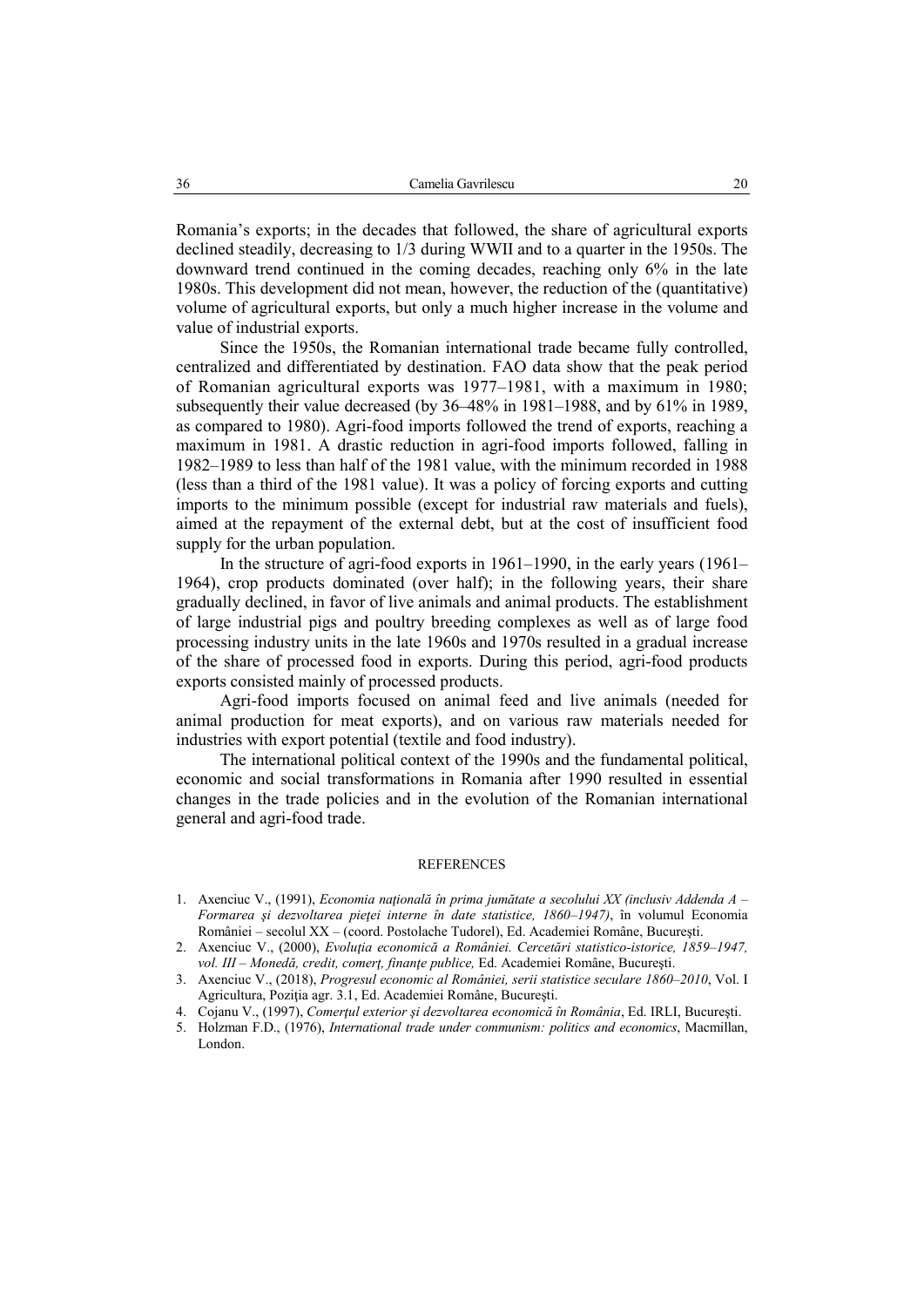Romania's exports; in the decades that followed, the share of agricultural exports declined steadily, decreasing to 1/3 during WWII and to a quarter in the 1950s. The downward trend continued in the coming decades, reaching only 6% in the late 1980s. This development did not mean, however, the reduction of the (quantitative) volume of agricultural exports, but only a much higher increase in the volume and value of industrial exports.

Since the 1950s, the Romanian international trade became fully controlled, centralized and differentiated by destination. FAO data show that the peak period of Romanian agricultural exports was 1977–1981, with a maximum in 1980; subsequently their value decreased (by 36–48% in 1981–1988, and by 61% in 1989, as compared to 1980). Agri-food imports followed the trend of exports, reaching a maximum in 1981. A drastic reduction in agri-food imports followed, falling in 1982–1989 to less than half of the 1981 value, with the minimum recorded in 1988 (less than a third of the 1981 value). It was a policy of forcing exports and cutting imports to the minimum possible (except for industrial raw materials and fuels), aimed at the repayment of the external debt, but at the cost of insufficient food supply for the urban population.

In the structure of agri-food exports in 1961–1990, in the early years (1961– 1964), crop products dominated (over half); in the following years, their share gradually declined, in favor of live animals and animal products. The establishment of large industrial pigs and poultry breeding complexes as well as of large food processing industry units in the late 1960s and 1970s resulted in a gradual increase of the share of processed food in exports. During this period, agri-food products exports consisted mainly of processed products.

Agri-food imports focused on animal feed and live animals (needed for animal production for meat exports), and on various raw materials needed for industries with export potential (textile and food industry).

The international political context of the 1990s and the fundamental political, economic and social transformations in Romania after 1990 resulted in essential changes in the trade policies and in the evolution of the Romanian international general and agri-food trade.

#### REFERENCES

- 1. Axenciuc V., (1991), *Economia naţională în prima jumătate a secolului XX (inclusiv Addenda A Formarea şi dezvoltarea pieţei interne în date statistice, 1860–1947)*, în volumul Economia României – secolul XX *–* (coord. Postolache Tudorel), Ed. Academiei Române, Bucureşti.
- 2. Axenciuc V., (2000), *Evoluţia economică a României. Cercetări statistico-istorice, 1859–1947, vol. III – Monedă, credit, comerţ, finanţe publice,* Ed. Academiei Române, Bucureşti.
- 3. Axenciuc V., (2018), *Progresul economic al României, serii statistice seculare 1860–2010*, Vol. I Agricultura, Poziţia agr. 3.1, Ed. Academiei Române, Bucureşti.
- 4. Cojanu V., (1997), *Comerţul exterior şi dezvoltarea economică în România*, Ed. IRLI, Bucureşti.
- 5. Holzman F.D., (1976), *International trade under communism: politics and economics*, Macmillan, London.